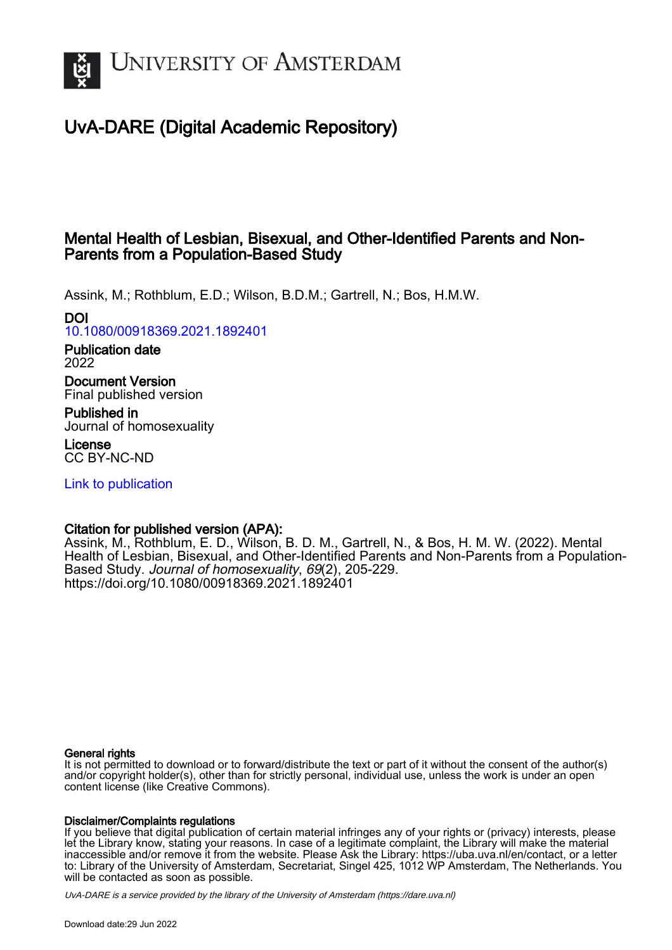

# UvA-DARE (Digital Academic Repository)

## Mental Health of Lesbian, Bisexual, and Other-Identified Parents and Non-Parents from a Population-Based Study

Assink, M.; Rothblum, E.D.; Wilson, B.D.M.; Gartrell, N.; Bos, H.M.W.

## DOI

[10.1080/00918369.2021.1892401](https://doi.org/10.1080/00918369.2021.1892401)

Publication date 2022

Document Version Final published version

Published in Journal of homosexuality

License CC BY-NC-ND

[Link to publication](https://dare.uva.nl/personal/pure/en/publications/mental-health-of-lesbian-bisexual-and-otheridentified-parents-and-nonparents-from-a-populationbased-study(c749986b-e700-4d16-a84a-48ac3e9401f3).html)

## Citation for published version (APA):

Assink, M., Rothblum, E. D., Wilson, B. D. M., Gartrell, N., & Bos, H. M. W. (2022). Mental Health of Lesbian, Bisexual, and Other-Identified Parents and Non-Parents from a Population-Based Study. Journal of homosexuality, 69(2), 205-229. <https://doi.org/10.1080/00918369.2021.1892401>

### General rights

It is not permitted to download or to forward/distribute the text or part of it without the consent of the author(s) and/or copyright holder(s), other than for strictly personal, individual use, unless the work is under an open content license (like Creative Commons).

### Disclaimer/Complaints regulations

If you believe that digital publication of certain material infringes any of your rights or (privacy) interests, please let the Library know, stating your reasons. In case of a legitimate complaint, the Library will make the material inaccessible and/or remove it from the website. Please Ask the Library: https://uba.uva.nl/en/contact, or a letter to: Library of the University of Amsterdam, Secretariat, Singel 425, 1012 WP Amsterdam, The Netherlands. You will be contacted as soon as possible.

UvA-DARE is a service provided by the library of the University of Amsterdam (http*s*://dare.uva.nl)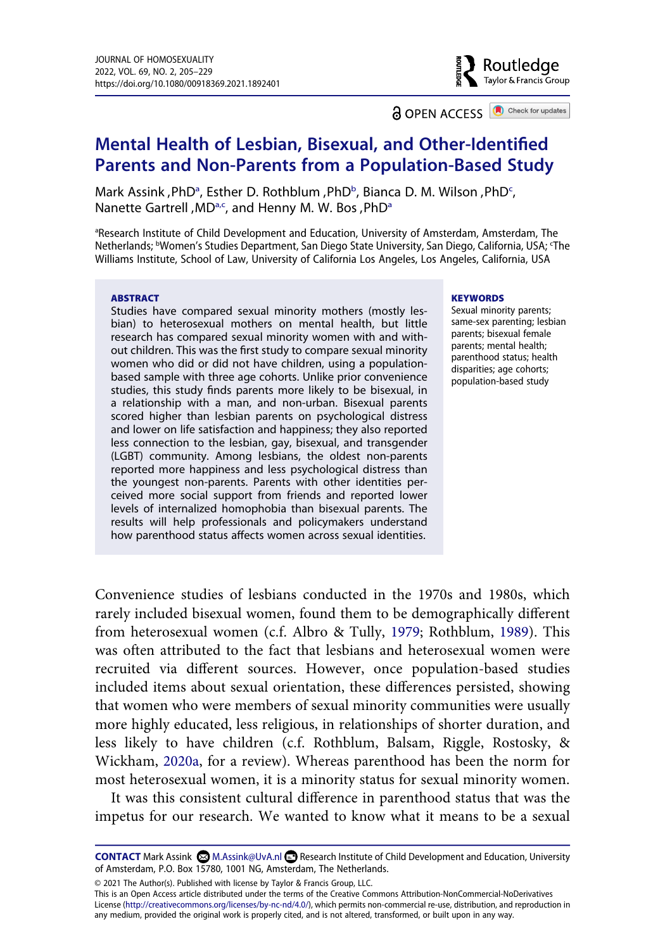Routledge Taylor & Francis Group

**a** OPEN ACCESS **a** Check for updates

## **Mental Health of Lesbian, Bisexual, and Other-Identified Parents and Non-Parents from a Population-Based Study**

Mark Assink, PhD<sup>a</sup>, Esther D. Rothblum, PhD<sup>b</sup>, Bian[c](#page-1-1)a D. M. Wilson, PhD<sup>c</sup>, N[a](#page-1-0)nette Gartrell,  $MD^{a,c}$ , and Henny M. W. Bos,  $PhD^a$ 

<span id="page-1-1"></span><span id="page-1-0"></span><sup>a</sup>Research Institute of Child Development and Education, University of Amsterdam, Amsterdam, The Netherlands; bWomen's Studies Department, San Diego State University, San Diego, California, USA; 'The Williams Institute, School of Law, University of California Los Angeles, Los Angeles, California, USA

#### **ABSTRACT**

Studies have compared sexual minority mothers (mostly lesbian) to heterosexual mothers on mental health, but little research has compared sexual minority women with and without children. This was the first study to compare sexual minority women who did or did not have children, using a populationbased sample with three age cohorts. Unlike prior convenience studies, this study finds parents more likely to be bisexual, in a relationship with a man, and non-urban. Bisexual parents scored higher than lesbian parents on psychological distress and lower on life satisfaction and happiness; they also reported less connection to the lesbian, gay, bisexual, and transgender (LGBT) community. Among lesbians, the oldest non-parents reported more happiness and less psychological distress than the youngest non-parents. Parents with other identities perceived more social support from friends and reported lower levels of internalized homophobia than bisexual parents. The results will help professionals and policymakers understand how parenthood status affects women across sexual identities.

#### **KEYWORDS**

Sexual minority parents; same-sex parenting; lesbian parents; bisexual female parents; mental health; parenthood status; health disparities; age cohorts; population-based study

<span id="page-1-2"></span>Convenience studies of lesbians conducted in the 1970s and 1980s, which rarely included bisexual women, found them to be demographically different from heterosexual women (c.f. Albro & Tully, [1979](#page-21-0); Rothblum, [1989\)](#page-24-0). This was often attributed to the fact that lesbians and heterosexual women were recruited via different sources. However, once population-based studies included items about sexual orientation, these differences persisted, showing that women who were members of sexual minority communities were usually more highly educated, less religious, in relationships of shorter duration, and less likely to have children (c.f. Rothblum, Balsam, Riggle, Rostosky, & Wickham, [2020a,](#page-24-1) for a review). Whereas parenthood has been the norm for most heterosexual women, it is a minority status for sexual minority women.

<span id="page-1-3"></span>It was this consistent cultural difference in parenthood status that was the impetus for our research. We wanted to know what it means to be a sexual

© 2021 The Author(s). Published with license by Taylor & Francis Group, LLC.

This is an Open Access article distributed under the terms of the Creative Commons Attribution-NonCommercial-NoDerivatives License (http://creativecommons.org/licenses/by-nc-nd/4.0/), which permits non-commercial re-use, distribution, and reproduction in any medium, provided the original work is properly cited, and is not altered, transformed, or built upon in any way.

CONTACT Mark Assink **M.Assink@UvA.nl <b>B** Research Institute of Child Development and Education, University of Amsterdam, P.O. Box 15780, 1001 NG, Amsterdam, The Netherlands.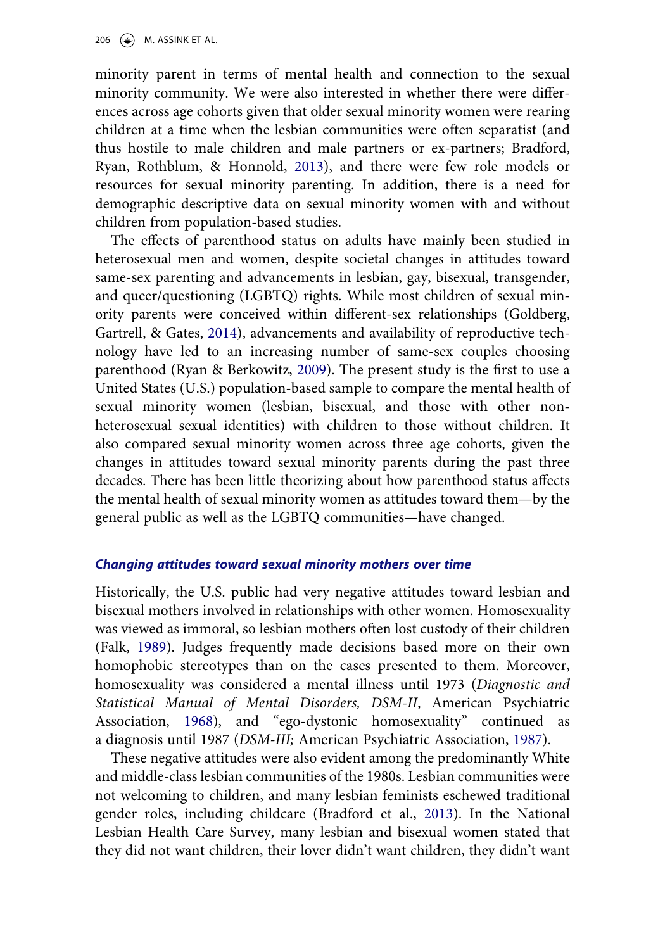minority parent in terms of mental health and connection to the sexual minority community. We were also interested in whether there were differences across age cohorts given that older sexual minority women were rearing children at a time when the lesbian communities were often separatist (and thus hostile to male children and male partners or ex-partners; Bradford, Ryan, Rothblum, & Honnold, [2013](#page-22-0)), and there were few role models or resources for sexual minority parenting. In addition, there is a need for demographic descriptive data on sexual minority women with and without children from population-based studies.

<span id="page-2-5"></span><span id="page-2-4"></span>The effects of parenthood status on adults have mainly been studied in heterosexual men and women, despite societal changes in attitudes toward same-sex parenting and advancements in lesbian, gay, bisexual, transgender, and queer/questioning (LGBTQ) rights. While most children of sexual minority parents were conceived within different-sex relationships (Goldberg, Gartrell, & Gates, [2014\)](#page-22-1), advancements and availability of reproductive technology have led to an increasing number of same-sex couples choosing parenthood (Ryan & Berkowitz, [2009](#page-24-2)). The present study is the first to use a United States (U.S.) population-based sample to compare the mental health of sexual minority women (lesbian, bisexual, and those with other nonheterosexual sexual identities) with children to those without children. It also compared sexual minority women across three age cohorts, given the changes in attitudes toward sexual minority parents during the past three decades. There has been little theorizing about how parenthood status affects the mental health of sexual minority women as attitudes toward them—by the general public as well as the LGBTQ communities—have changed.

### *Changing attitudes toward sexual minority mothers over time*

<span id="page-2-3"></span>Historically, the U.S. public had very negative attitudes toward lesbian and bisexual mothers involved in relationships with other women. Homosexuality was viewed as immoral, so lesbian mothers often lost custody of their children (Falk, [1989\)](#page-22-2). Judges frequently made decisions based more on their own homophobic stereotypes than on the cases presented to them. Moreover, homosexuality was considered a mental illness until 1973 (*Diagnostic and Statistical Manual of Mental Disorders, DSM-II*, American Psychiatric Association, [1968](#page-21-1)), and "ego-dystonic homosexuality" continued as a diagnosis until 1987 (*DSM-III;* American Psychiatric Association, [1987](#page-21-2)).

<span id="page-2-2"></span><span id="page-2-1"></span><span id="page-2-0"></span>These negative attitudes were also evident among the predominantly White and middle-class lesbian communities of the 1980s. Lesbian communities were not welcoming to children, and many lesbian feminists eschewed traditional gender roles, including childcare (Bradford et al., [2013\)](#page-22-0). In the National Lesbian Health Care Survey, many lesbian and bisexual women stated that they did not want children, their lover didn't want children, they didn't want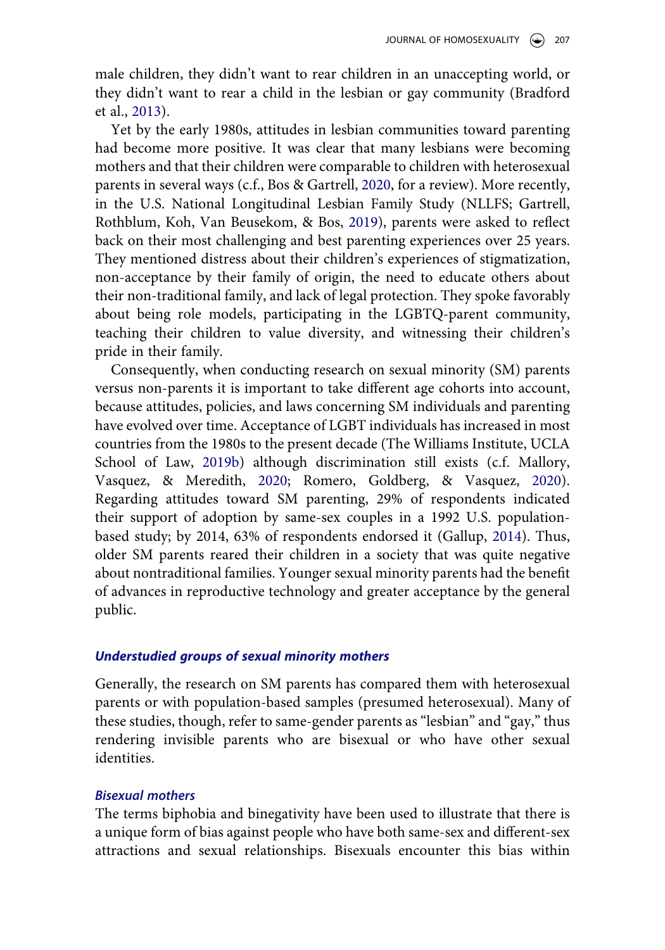male children, they didn't want to rear children in an unaccepting world, or they didn't want to rear a child in the lesbian or gay community (Bradford et al., [2013](#page-22-0)).

<span id="page-3-2"></span><span id="page-3-0"></span>Yet by the early 1980s, attitudes in lesbian communities toward parenting had become more positive. It was clear that many lesbians were becoming mothers and that their children were comparable to children with heterosexual parents in several ways (c.f., Bos & Gartrell, [2020](#page-21-3), for a review). More recently, in the U.S. National Longitudinal Lesbian Family Study (NLLFS; Gartrell, Rothblum, Koh, Van Beusekom, & Bos, [2019](#page-22-3)), parents were asked to reflect back on their most challenging and best parenting experiences over 25 years. They mentioned distress about their children's experiences of stigmatization, non-acceptance by their family of origin, the need to educate others about their non-traditional family, and lack of legal protection. They spoke favorably about being role models, participating in the LGBTQ-parent community, teaching their children to value diversity, and witnessing their children's pride in their family.

<span id="page-3-4"></span><span id="page-3-3"></span>Consequently, when conducting research on sexual minority (SM) parents versus non-parents it is important to take different age cohorts into account, because attitudes, policies, and laws concerning SM individuals and parenting have evolved over time. Acceptance of LGBT individuals has increased in most countries from the 1980s to the present decade (The Williams Institute, UCLA School of Law, [2019b](#page-25-0)) although discrimination still exists (c.f. Mallory, Vasquez, & Meredith, [2020;](#page-23-0) Romero, Goldberg, & Vasquez, [2020](#page-24-3)). Regarding attitudes toward SM parenting, 29% of respondents indicated their support of adoption by same-sex couples in a 1992 U.S. populationbased study; by 2014, 63% of respondents endorsed it (Gallup, [2014](#page-22-4)). Thus, older SM parents reared their children in a society that was quite negative about nontraditional families. Younger sexual minority parents had the benefit of advances in reproductive technology and greater acceptance by the general public.

### <span id="page-3-1"></span>*Understudied groups of sexual minority mothers*

Generally, the research on SM parents has compared them with heterosexual parents or with population-based samples (presumed heterosexual). Many of these studies, though, refer to same-gender parents as "lesbian" and "gay," thus rendering invisible parents who are bisexual or who have other sexual identities.

### *Bisexual mothers*

The terms biphobia and binegativity have been used to illustrate that there is a unique form of bias against people who have both same-sex and different-sex attractions and sexual relationships. Bisexuals encounter this bias within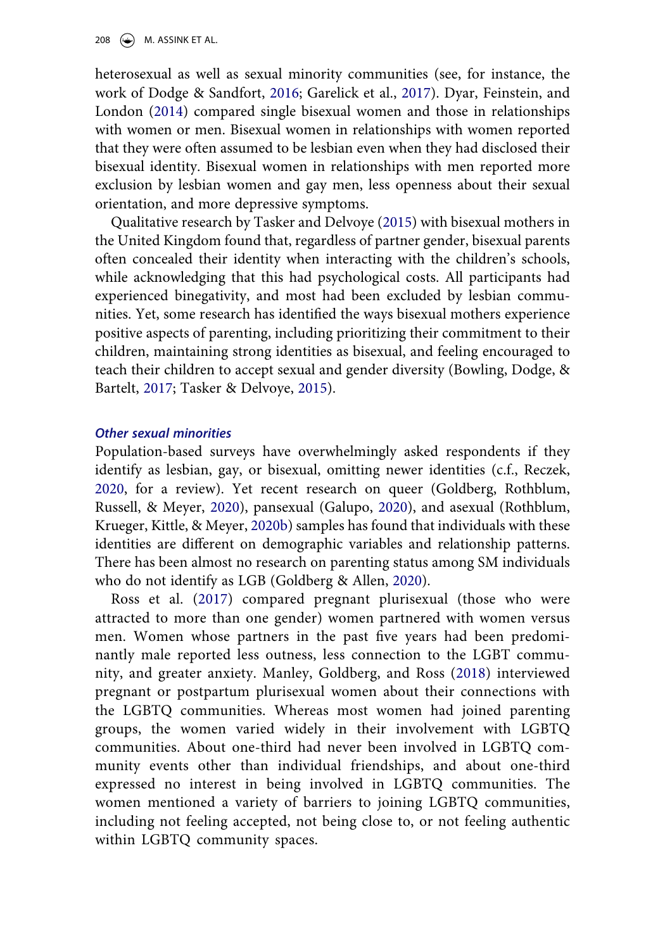<span id="page-4-2"></span><span id="page-4-1"></span>heterosexual as well as sexual minority communities (see, for instance, the work of Dodge & Sandfort, [2016;](#page-22-5) Garelick et al., [2017](#page-22-6)). Dyar, Feinstein, and London ([2014\)](#page-22-7) compared single bisexual women and those in relationships with women or men. Bisexual women in relationships with women reported that they were often assumed to be lesbian even when they had disclosed their bisexual identity. Bisexual women in relationships with men reported more exclusion by lesbian women and gay men, less openness about their sexual orientation, and more depressive symptoms.

Qualitative research by Tasker and Delvoye [\(2015](#page-24-4)) with bisexual mothers in the United Kingdom found that, regardless of partner gender, bisexual parents often concealed their identity when interacting with the children's schools, while acknowledging that this had psychological costs. All participants had experienced binegativity, and most had been excluded by lesbian communities. Yet, some research has identified the ways bisexual mothers experience positive aspects of parenting, including prioritizing their commitment to their children, maintaining strong identities as bisexual, and feeling encouraged to teach their children to accept sexual and gender diversity (Bowling, Dodge, & Bartelt, [2017;](#page-22-8) Tasker & Delvoye, [2015\)](#page-24-4).

#### <span id="page-4-0"></span>*Other sexual minorities*

<span id="page-4-8"></span><span id="page-4-6"></span><span id="page-4-3"></span>Population-based surveys have overwhelmingly asked respondents if they identify as lesbian, gay, or bisexual, omitting newer identities (c.f., Reczek, [2020](#page-24-5), for a review). Yet recent research on queer (Goldberg, Rothblum, Russell, & Meyer, [2020](#page-23-1)), pansexual (Galupo, [2020\)](#page-22-9), and asexual (Rothblum, Krueger, Kittle, & Meyer, [2020b](#page-24-6)) samples has found that individuals with these identities are different on demographic variables and relationship patterns. There has been almost no research on parenting status among SM individuals who do not identify as LGB (Goldberg & Allen, [2020\)](#page-22-10).

<span id="page-4-7"></span><span id="page-4-5"></span><span id="page-4-4"></span>Ross et al. [\(2017\)](#page-24-7) compared pregnant plurisexual (those who were attracted to more than one gender) women partnered with women versus men. Women whose partners in the past five years had been predominantly male reported less outness, less connection to the LGBT community, and greater anxiety. Manley, Goldberg, and Ross ([2018](#page-23-2)) interviewed pregnant or postpartum plurisexual women about their connections with the LGBTQ communities. Whereas most women had joined parenting groups, the women varied widely in their involvement with LGBTQ communities. About one-third had never been involved in LGBTQ community events other than individual friendships, and about one-third expressed no interest in being involved in LGBTQ communities. The women mentioned a variety of barriers to joining LGBTQ communities, including not feeling accepted, not being close to, or not feeling authentic within LGBTQ community spaces.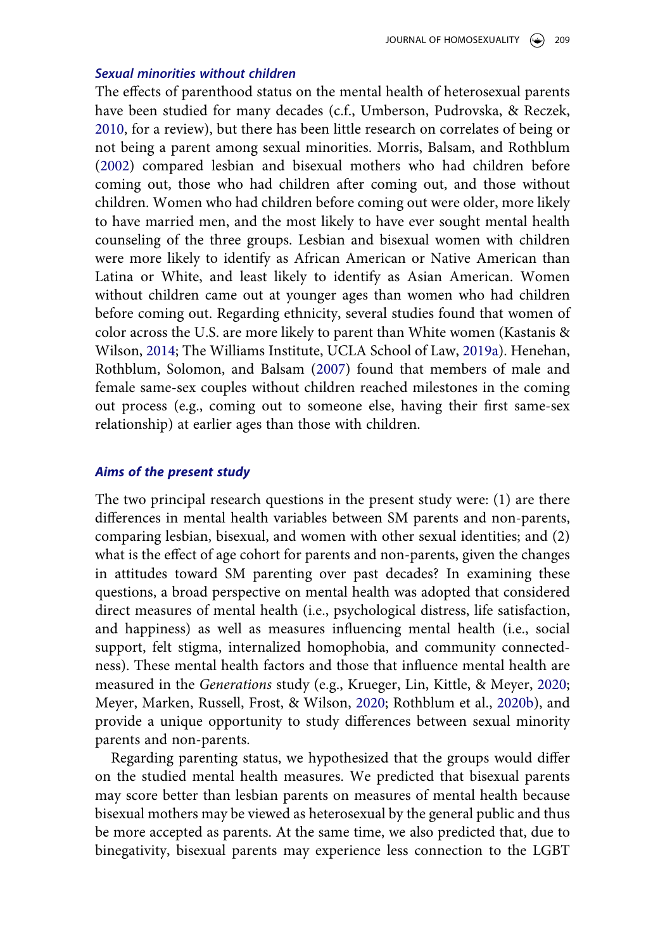### *Sexual minorities without children*

<span id="page-5-5"></span><span id="page-5-4"></span>The effects of parenthood status on the mental health of heterosexual parents have been studied for many decades (c.f., Umberson, Pudrovska, & Reczek, [2010](#page-24-8), for a review), but there has been little research on correlates of being or not being a parent among sexual minorities. Morris, Balsam, and Rothblum ([2002](#page-24-9)) compared lesbian and bisexual mothers who had children before coming out, those who had children after coming out, and those without children. Women who had children before coming out were older, more likely to have married men, and the most likely to have ever sought mental health counseling of the three groups. Lesbian and bisexual women with children were more likely to identify as African American or Native American than Latina or White, and least likely to identify as Asian American. Women without children came out at younger ages than women who had children before coming out. Regarding ethnicity, several studies found that women of color across the U.S. are more likely to parent than White women (Kastanis & Wilson, [2014;](#page-23-3) The Williams Institute, UCLA School of Law, [2019a\)](#page-24-10). Henehan, Rothblum, Solomon, and Balsam ([2007\)](#page-23-4) found that members of male and female same-sex couples without children reached milestones in the coming out process (e.g., coming out to someone else, having their first same-sex relationship) at earlier ages than those with children.

#### <span id="page-5-1"></span><span id="page-5-0"></span>*Aims of the present study*

The two principal research questions in the present study were: (1) are there differences in mental health variables between SM parents and non-parents, comparing lesbian, bisexual, and women with other sexual identities; and (2) what is the effect of age cohort for parents and non-parents, given the changes in attitudes toward SM parenting over past decades? In examining these questions, a broad perspective on mental health was adopted that considered direct measures of mental health (i.e., psychological distress, life satisfaction, and happiness) as well as measures influencing mental health (i.e., social support, felt stigma, internalized homophobia, and community connectedness). These mental health factors and those that influence mental health are measured in the *Generations* study (e.g., Krueger, Lin, Kittle, & Meyer, [2020](#page-23-5); Meyer, Marken, Russell, Frost, & Wilson, [2020;](#page-24-11) Rothblum et al., [2020b\)](#page-24-1), and provide a unique opportunity to study differences between sexual minority parents and non-parents.

<span id="page-5-3"></span><span id="page-5-2"></span>Regarding parenting status, we hypothesized that the groups would differ on the studied mental health measures. We predicted that bisexual parents may score better than lesbian parents on measures of mental health because bisexual mothers may be viewed as heterosexual by the general public and thus be more accepted as parents. At the same time, we also predicted that, due to binegativity, bisexual parents may experience less connection to the LGBT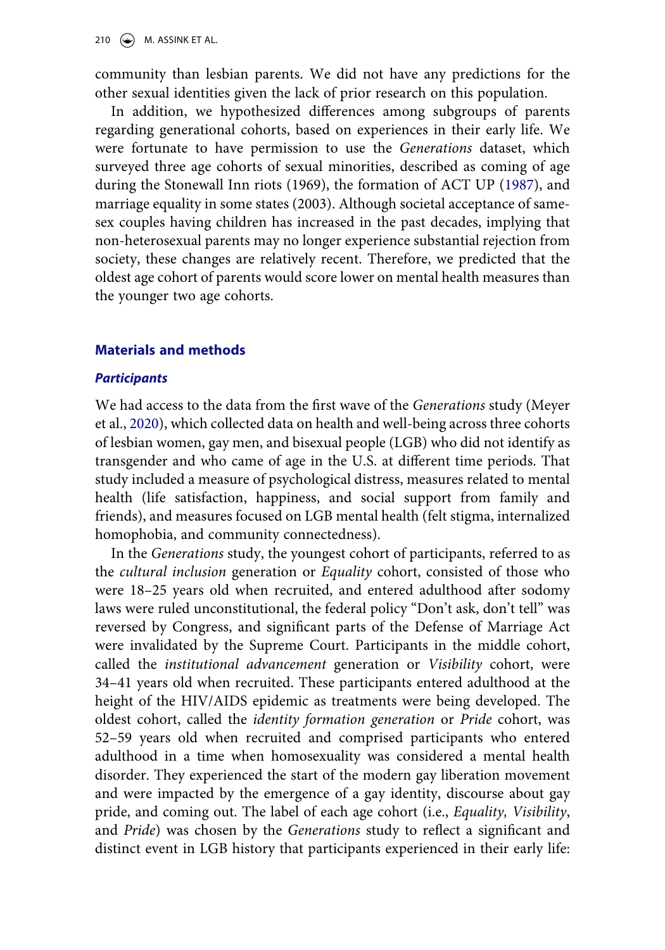210  $\left(\bigcirc\right)$  M. ASSINK ET AL.

community than lesbian parents. We did not have any predictions for the other sexual identities given the lack of prior research on this population.

In addition, we hypothesized differences among subgroups of parents regarding generational cohorts, based on experiences in their early life. We were fortunate to have permission to use the *Generations* dataset, which surveyed three age cohorts of sexual minorities, described as coming of age during the Stonewall Inn riots (1969), the formation of ACT UP [\(1987\)](#page-21-2), and marriage equality in some states (2003). Although societal acceptance of samesex couples having children has increased in the past decades, implying that non-heterosexual parents may no longer experience substantial rejection from society, these changes are relatively recent. Therefore, we predicted that the oldest age cohort of parents would score lower on mental health measures than the younger two age cohorts.

### **Materials and methods**

### *Participants*

We had access to the data from the first wave of the *Generations* study (Meyer et al., [2020](#page-24-11)), which collected data on health and well-being across three cohorts of lesbian women, gay men, and bisexual people (LGB) who did not identify as transgender and who came of age in the U.S. at different time periods. That study included a measure of psychological distress, measures related to mental health (life satisfaction, happiness, and social support from family and friends), and measures focused on LGB mental health (felt stigma, internalized homophobia, and community connectedness).

In the *Generations* study, the youngest cohort of participants, referred to as the *cultural inclusion* generation or *Equality* cohort, consisted of those who were 18–25 years old when recruited, and entered adulthood after sodomy laws were ruled unconstitutional, the federal policy "Don't ask, don't tell" was reversed by Congress, and significant parts of the Defense of Marriage Act were invalidated by the Supreme Court. Participants in the middle cohort, called the *institutional advancement* generation or *Visibility* cohort, were 34–41 years old when recruited. These participants entered adulthood at the height of the HIV/AIDS epidemic as treatments were being developed. The oldest cohort, called the *identity formation generation* or *Pride* cohort, was 52–59 years old when recruited and comprised participants who entered adulthood in a time when homosexuality was considered a mental health disorder. They experienced the start of the modern gay liberation movement and were impacted by the emergence of a gay identity, discourse about gay pride, and coming out. The label of each age cohort (i.e., *Equality, Visibility*, and *Pride*) was chosen by the *Generations* study to reflect a significant and distinct event in LGB history that participants experienced in their early life: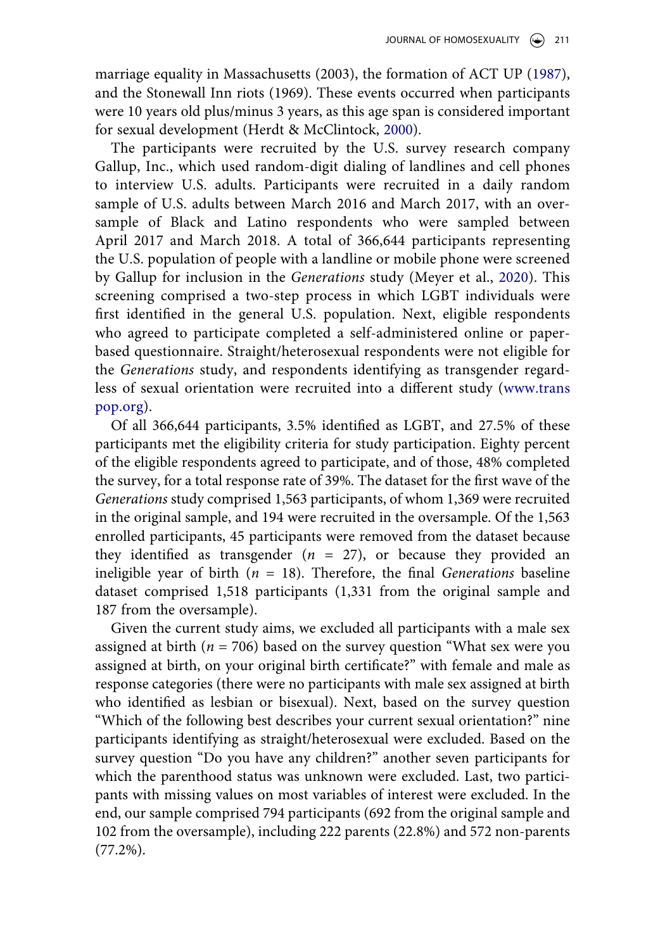marriage equality in Massachusetts (2003), the formation of ACT UP [\(1987](#page-21-2)), and the Stonewall Inn riots (1969). These events occurred when participants were 10 years old plus/minus 3 years, as this age span is considered important for sexual development (Herdt & McClintock, [2000\)](#page-23-6).

<span id="page-7-0"></span>The participants were recruited by the U.S. survey research company Gallup, Inc., which used random-digit dialing of landlines and cell phones to interview U.S. adults. Participants were recruited in a daily random sample of U.S. adults between March 2016 and March 2017, with an oversample of Black and Latino respondents who were sampled between April 2017 and March 2018. A total of 366,644 participants representing the U.S. population of people with a landline or mobile phone were screened by Gallup for inclusion in the *Generations* study (Meyer et al., [2020](#page-24-11)). This screening comprised a two-step process in which LGBT individuals were first identified in the general U.S. population. Next, eligible respondents who agreed to participate completed a self-administered online or paperbased questionnaire. Straight/heterosexual respondents were not eligible for the *Generations* study, and respondents identifying as transgender regardless of sexual orientation were recruited into a different study ([www.trans](http://www.transpop.org) [pop.org\)](http://www.transpop.org).

Of all 366,644 participants, 3.5% identified as LGBT, and 27.5% of these participants met the eligibility criteria for study participation. Eighty percent of the eligible respondents agreed to participate, and of those, 48% completed the survey, for a total response rate of 39%. The dataset for the first wave of the *Generations* study comprised 1,563 participants, of whom 1,369 were recruited in the original sample, and 194 were recruited in the oversample. Of the 1,563 enrolled participants, 45 participants were removed from the dataset because they identified as transgender  $(n = 27)$ , or because they provided an ineligible year of birth (*n* = 18). Therefore, the final *Generations* baseline dataset comprised 1,518 participants (1,331 from the original sample and 187 from the oversample).

Given the current study aims, we excluded all participants with a male sex assigned at birth  $(n = 706)$  based on the survey question "What sex were you assigned at birth, on your original birth certificate?" with female and male as response categories (there were no participants with male sex assigned at birth who identified as lesbian or bisexual). Next, based on the survey question "Which of the following best describes your current sexual orientation?" nine participants identifying as straight/heterosexual were excluded. Based on the survey question "Do you have any children?" another seven participants for which the parenthood status was unknown were excluded. Last, two participants with missing values on most variables of interest were excluded. In the end, our sample comprised 794 participants (692 from the original sample and 102 from the oversample), including 222 parents (22.8%) and 572 non-parents (77.2%).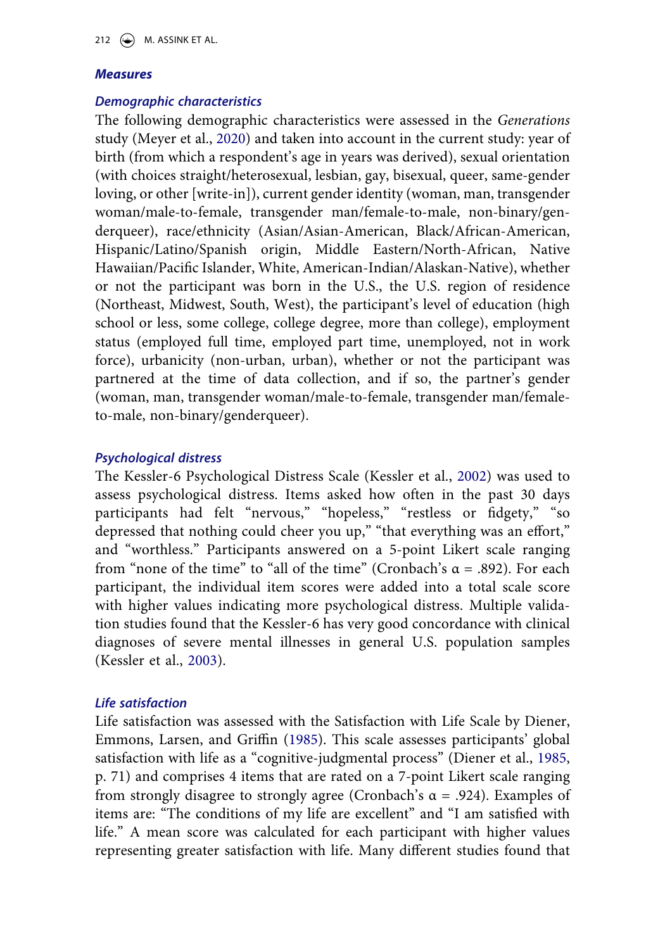### *Measures*

### *Demographic characteristics*

The following demographic characteristics were assessed in the *Generations*  study (Meyer et al., [2020](#page-24-11)) and taken into account in the current study: year of birth (from which a respondent's age in years was derived), sexual orientation (with choices straight/heterosexual, lesbian, gay, bisexual, queer, same-gender loving, or other [write-in]), current gender identity (woman, man, transgender woman/male-to-female, transgender man/female-to-male, non-binary/genderqueer), race/ethnicity (Asian/Asian-American, Black/African-American, Hispanic/Latino/Spanish origin, Middle Eastern/North-African, Native Hawaiian/Pacific Islander, White, American-Indian/Alaskan-Native), whether or not the participant was born in the U.S., the U.S. region of residence (Northeast, Midwest, South, West), the participant's level of education (high school or less, some college, college degree, more than college), employment status (employed full time, employed part time, unemployed, not in work force), urbanicity (non-urban, urban), whether or not the participant was partnered at the time of data collection, and if so, the partner's gender (woman, man, transgender woman/male-to-female, transgender man/femaleto-male, non-binary/genderqueer).

### *Psychological distress*

<span id="page-8-1"></span>The Kessler-6 Psychological Distress Scale (Kessler et al., [2002\)](#page-23-7) was used to assess psychological distress. Items asked how often in the past 30 days participants had felt "nervous," "hopeless," "restless or fidgety," "so depressed that nothing could cheer you up," "that everything was an effort," and "worthless." Participants answered on a 5-point Likert scale ranging from "none of the time" to "all of the time" (Cronbach's  $\alpha$  = .892). For each participant, the individual item scores were added into a total scale score with higher values indicating more psychological distress. Multiple validation studies found that the Kessler-6 has very good concordance with clinical diagnoses of severe mental illnesses in general U.S. population samples (Kessler et al., [2003\)](#page-23-8).

### <span id="page-8-2"></span>*Life satisfaction*

<span id="page-8-0"></span>Life satisfaction was assessed with the Satisfaction with Life Scale by Diener, Emmons, Larsen, and Griffin ([1985\)](#page-22-11). This scale assesses participants' global satisfaction with life as a "cognitive-judgmental process" (Diener et al., [1985](#page-22-11), p. 71) and comprises 4 items that are rated on a 7-point Likert scale ranging from strongly disagree to strongly agree (Cronbach's  $\alpha$  = .924). Examples of items are: "The conditions of my life are excellent" and "I am satisfied with life." A mean score was calculated for each participant with higher values representing greater satisfaction with life. Many different studies found that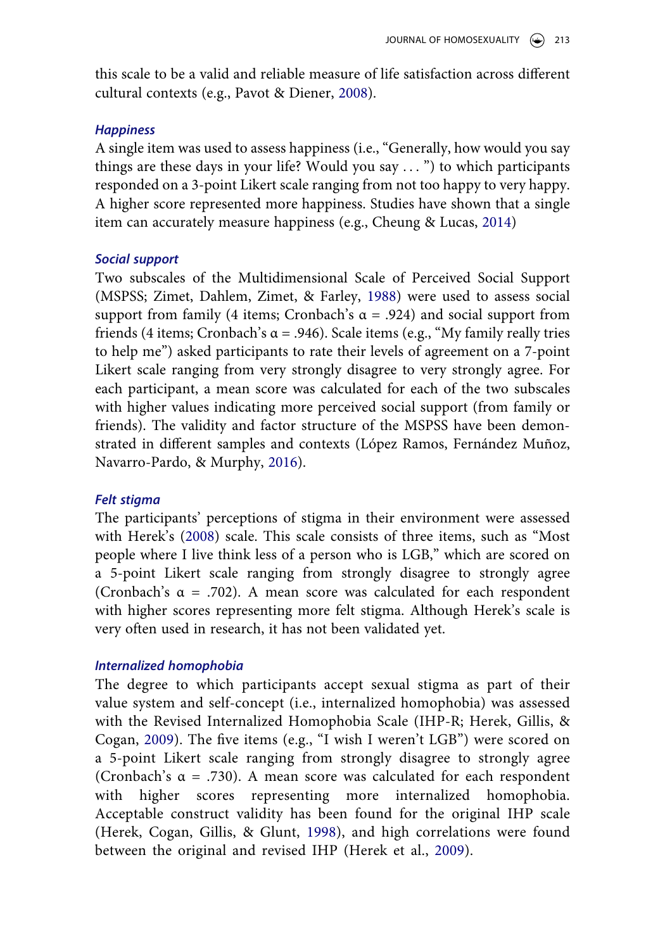<span id="page-9-5"></span>this scale to be a valid and reliable measure of life satisfaction across different cultural contexts (e.g., Pavot & Diener, [2008\)](#page-24-12).

### *Happiness*

A single item was used to assess happiness (i.e., "Generally, how would you say things are these days in your life? Would you say . . . ") to which participants responded on a 3-point Likert scale ranging from not too happy to very happy. A higher score represented more happiness. Studies have shown that a single item can accurately measure happiness (e.g., Cheung & Lucas, [2014](#page-22-12))

### <span id="page-9-0"></span>*Social support*

<span id="page-9-6"></span>Two subscales of the Multidimensional Scale of Perceived Social Support (MSPSS; Zimet, Dahlem, Zimet, & Farley, [1988](#page-25-1)) were used to assess social support from family (4 items; Cronbach's  $\alpha$  = .924) and social support from friends (4 items; Cronbach's  $\alpha$  = .946). Scale items (e.g., "My family really tries to help me") asked participants to rate their levels of agreement on a 7-point Likert scale ranging from very strongly disagree to very strongly agree. For each participant, a mean score was calculated for each of the two subscales with higher values indicating more perceived social support (from family or friends). The validity and factor structure of the MSPSS have been demonstrated in different samples and contexts (López Ramos, Fernández Muñoz, Navarro-Pardo, & Murphy, [2016](#page-23-9)).

### <span id="page-9-4"></span>*Felt stigma*

<span id="page-9-1"></span>The participants' perceptions of stigma in their environment were assessed with Herek's [\(2008](#page-23-10)) scale. This scale consists of three items, such as "Most people where I live think less of a person who is LGB," which are scored on a 5-point Likert scale ranging from strongly disagree to strongly agree (Cronbach's  $\alpha$  = .702). A mean score was calculated for each respondent with higher scores representing more felt stigma. Although Herek's scale is very often used in research, it has not been validated yet.

### *Internalized homophobia*

<span id="page-9-3"></span><span id="page-9-2"></span>The degree to which participants accept sexual stigma as part of their value system and self-concept (i.e., internalized homophobia) was assessed with the Revised Internalized Homophobia Scale (IHP-R; Herek, Gillis, & Cogan, [2009\)](#page-23-11). The five items (e.g., "I wish I weren't LGB") were scored on a 5-point Likert scale ranging from strongly disagree to strongly agree (Cronbach's  $\alpha$  = .730). A mean score was calculated for each respondent with higher scores representing more internalized homophobia. Acceptable construct validity has been found for the original IHP scale (Herek, Cogan, Gillis, & Glunt, [1998\)](#page-23-12), and high correlations were found between the original and revised IHP (Herek et al., [2009\)](#page-23-11).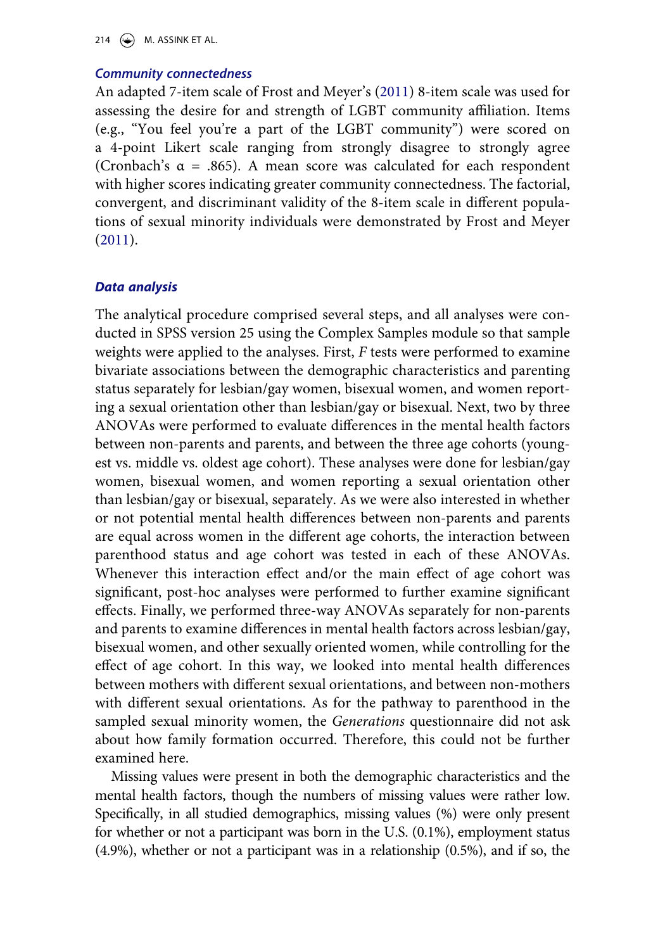214  $\left(\bigcirc\right)$  M. ASSINK ET AL.

### *Community connectedness*

An adapted 7-item scale of Frost and Meyer's ([2011](#page-22-13)) 8-item scale was used for assessing the desire for and strength of LGBT community affiliation. Items (e.g., "You feel you're a part of the LGBT community") were scored on a 4-point Likert scale ranging from strongly disagree to strongly agree (Cronbach's  $\alpha$  = .865). A mean score was calculated for each respondent with higher scores indicating greater community connectedness. The factorial, convergent, and discriminant validity of the 8-item scale in different populations of sexual minority individuals were demonstrated by Frost and Meyer ([2011](#page-22-13)).

### <span id="page-10-0"></span>*Data analysis*

The analytical procedure comprised several steps, and all analyses were conducted in SPSS version 25 using the Complex Samples module so that sample weights were applied to the analyses. First, *F* tests were performed to examine bivariate associations between the demographic characteristics and parenting status separately for lesbian/gay women, bisexual women, and women reporting a sexual orientation other than lesbian/gay or bisexual. Next, two by three ANOVAs were performed to evaluate differences in the mental health factors between non-parents and parents, and between the three age cohorts (youngest vs. middle vs. oldest age cohort). These analyses were done for lesbian/gay women, bisexual women, and women reporting a sexual orientation other than lesbian/gay or bisexual, separately. As we were also interested in whether or not potential mental health differences between non-parents and parents are equal across women in the different age cohorts, the interaction between parenthood status and age cohort was tested in each of these ANOVAs. Whenever this interaction effect and/or the main effect of age cohort was significant, post-hoc analyses were performed to further examine significant effects. Finally, we performed three-way ANOVAs separately for non-parents and parents to examine differences in mental health factors across lesbian/gay, bisexual women, and other sexually oriented women, while controlling for the effect of age cohort. In this way, we looked into mental health differences between mothers with different sexual orientations, and between non-mothers with different sexual orientations. As for the pathway to parenthood in the sampled sexual minority women, the *Generations* questionnaire did not ask about how family formation occurred. Therefore, this could not be further examined here.

Missing values were present in both the demographic characteristics and the mental health factors, though the numbers of missing values were rather low. Specifically, in all studied demographics, missing values (%) were only present for whether or not a participant was born in the U.S. (0.1%), employment status (4.9%), whether or not a participant was in a relationship (0.5%), and if so, the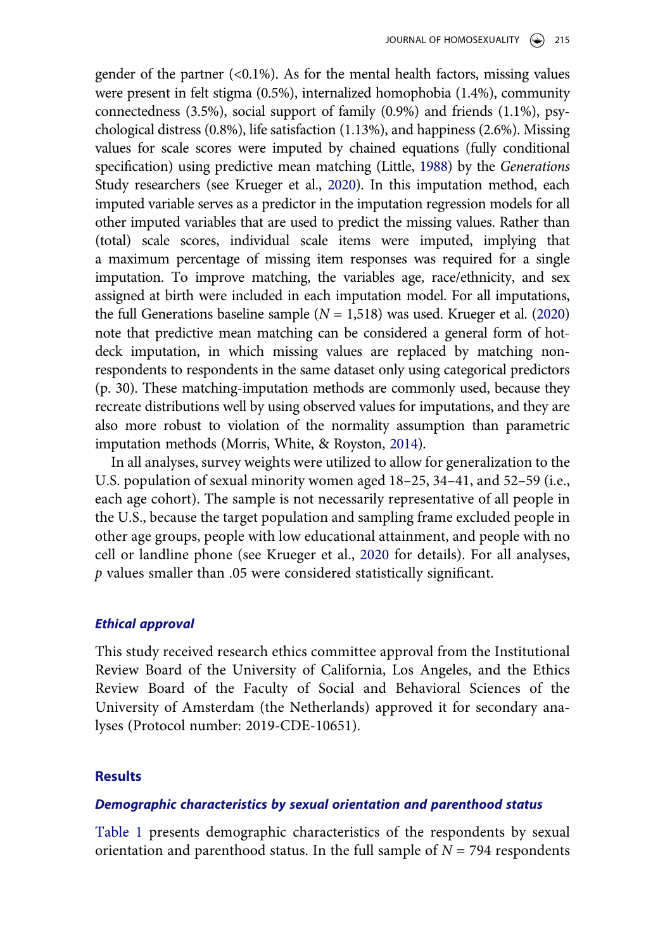<span id="page-11-0"></span>gender of the partner  $( $0.1\%$ )$ . As for the mental health factors, missing values were present in felt stigma (0.5%), internalized homophobia (1.4%), community connectedness (3.5%), social support of family (0.9%) and friends (1.1%), psychological distress (0.8%), life satisfaction (1.13%), and happiness (2.6%). Missing values for scale scores were imputed by chained equations (fully conditional specification) using predictive mean matching (Little, [1988](#page-23-13)) by the *Generations*  Study researchers (see Krueger et al., [2020\)](#page-23-5). In this imputation method, each imputed variable serves as a predictor in the imputation regression models for all other imputed variables that are used to predict the missing values. Rather than (total) scale scores, individual scale items were imputed, implying that a maximum percentage of missing item responses was required for a single imputation. To improve matching, the variables age, race/ethnicity, and sex assigned at birth were included in each imputation model. For all imputations, the full Generations baseline sample  $(N = 1,518)$  was used. Krueger et al. ([2020\)](#page-23-5) note that predictive mean matching can be considered a general form of hotdeck imputation, in which missing values are replaced by matching nonrespondents to respondents in the same dataset only using categorical predictors (p. 30). These matching-imputation methods are commonly used, because they recreate distributions well by using observed values for imputations, and they are also more robust to violation of the normality assumption than parametric imputation methods (Morris, White, & Royston, [2014\)](#page-24-13).

<span id="page-11-1"></span>In all analyses, survey weights were utilized to allow for generalization to the U.S. population of sexual minority women aged 18–25, 34–41, and 52–59 (i.e., each age cohort). The sample is not necessarily representative of all people in the U.S., because the target population and sampling frame excluded people in other age groups, people with low educational attainment, and people with no cell or landline phone (see Krueger et al., [2020](#page-23-5) for details). For all analyses, *p* values smaller than .05 were considered statistically significant.

### *Ethical approval*

This study received research ethics committee approval from the Institutional Review Board of the University of California, Los Angeles, and the Ethics Review Board of the Faculty of Social and Behavioral Sciences of the University of Amsterdam (the Netherlands) approved it for secondary analyses (Protocol number: 2019-CDE-10651).

#### **Results**

#### *Demographic characteristics by sexual orientation and parenthood status*

[Table 1](#page-13-0) presents demographic characteristics of the respondents by sexual orientation and parenthood status. In the full sample of  $N = 794$  respondents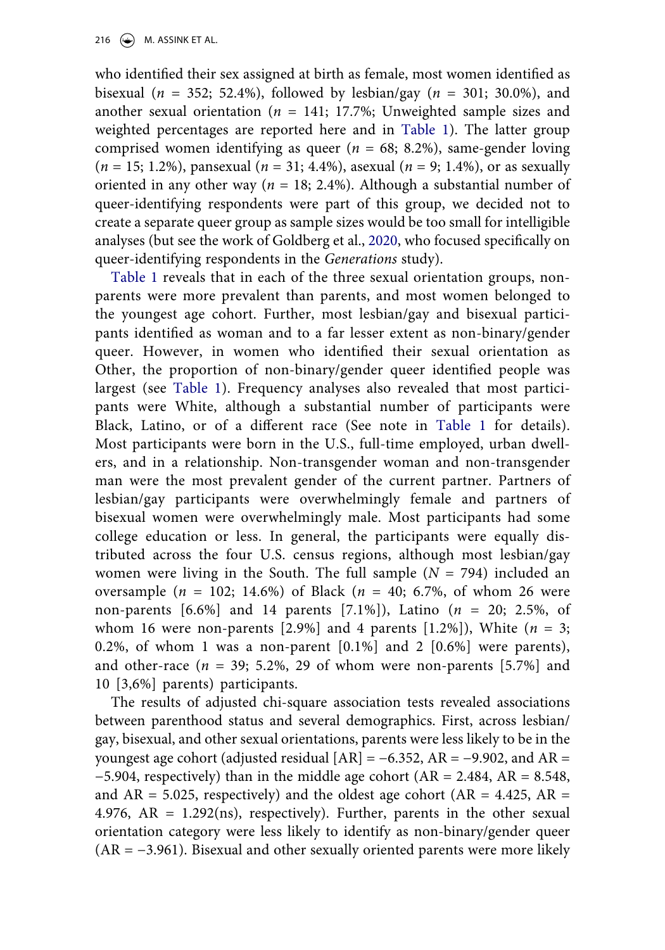who identified their sex assigned at birth as female, most women identified as bisexual (*n* = 352; 52.4%), followed by lesbian/gay (*n* = 301; 30.0%), and another sexual orientation ( $n = 141$ ; 17.7%; Unweighted sample sizes and weighted percentages are reported here and in [Table 1](#page-13-0)). The latter group comprised women identifying as queer (*n* = 68; 8.2%), same-gender loving (*n* = 15; 1.2%), pansexual (*n* = 31; 4.4%), asexual (*n* = 9; 1.4%), or as sexually oriented in any other way ( $n = 18$ ; 2.4%). Although a substantial number of queer-identifying respondents were part of this group, we decided not to create a separate queer group as sample sizes would be too small for intelligible analyses (but see the work of Goldberg et al., [2020](#page-23-1), who focused specifically on queer-identifying respondents in the *Generations* study).

[Table 1](#page-13-0) reveals that in each of the three sexual orientation groups, nonparents were more prevalent than parents, and most women belonged to the youngest age cohort. Further, most lesbian/gay and bisexual participants identified as woman and to a far lesser extent as non-binary/gender queer. However, in women who identified their sexual orientation as Other, the proportion of non-binary/gender queer identified people was largest (see [Table 1](#page-13-0)). Frequency analyses also revealed that most participants were White, although a substantial number of participants were Black, Latino, or of a different race (See note in [Table 1](#page-13-0) for details). Most participants were born in the U.S., full-time employed, urban dwellers, and in a relationship. Non-transgender woman and non-transgender man were the most prevalent gender of the current partner. Partners of lesbian/gay participants were overwhelmingly female and partners of bisexual women were overwhelmingly male. Most participants had some college education or less. In general, the participants were equally distributed across the four U.S. census regions, although most lesbian/gay women were living in the South. The full sample (*N* = 794) included an oversample (*n* = 102; 14.6%) of Black (*n* = 40; 6.7%, of whom 26 were non-parents [6.6%] and 14 parents [7.1%]), Latino (*n* = 20; 2.5%, of whom 16 were non-parents  $[2.9\%]$  and 4 parents  $[1.2\%]$ ), White  $(n = 3;$ 0.2%, of whom 1 was a non-parent  $[0.1\%]$  and 2  $[0.6\%]$  were parents), and other-race  $(n = 39; 5.2\%, 29$  of whom were non-parents  $[5.7\%]$  and 10 [3,6%] parents) participants.

The results of adjusted chi-square association tests revealed associations between parenthood status and several demographics. First, across lesbian/ gay, bisexual, and other sexual orientations, parents were less likely to be in the youngest age cohort (adjusted residual  $[AR] = -6.352$ ,  $AR = -9.902$ , and  $AR =$  $-5.904$ , respectively) than in the middle age cohort (AR = 2.484, AR = 8.548, and  $AR = 5.025$ , respectively) and the oldest age cohort ( $AR = 4.425$ ,  $AR =$ 4.976,  $AR = 1.292$ (ns), respectively). Further, parents in the other sexual orientation category were less likely to identify as non-binary/gender queer (AR = −3.961). Bisexual and other sexually oriented parents were more likely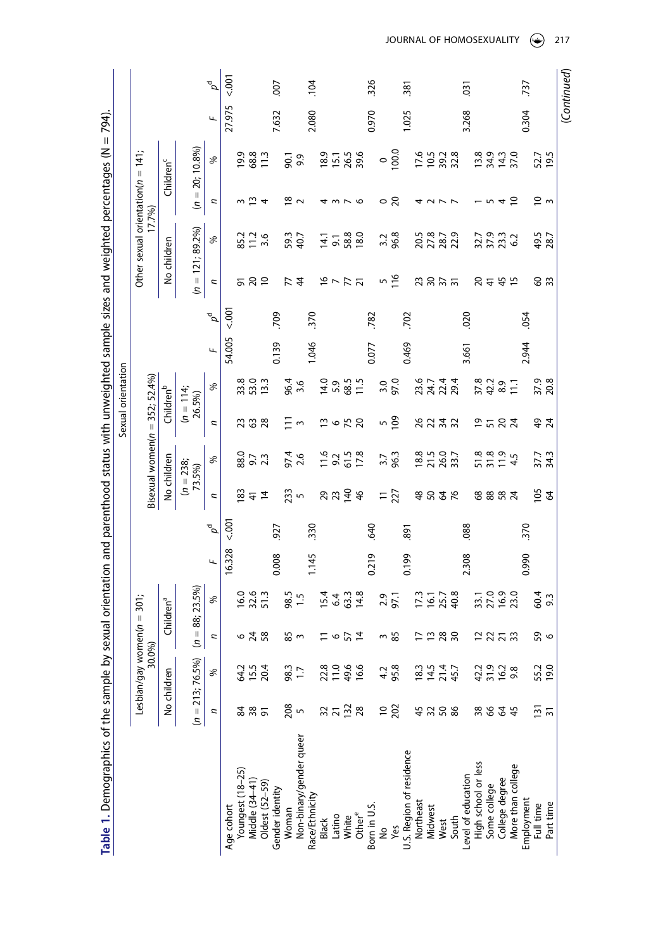<span id="page-13-0"></span>

| Table 1. Demographics of the sample by |                      |                            |              |                                                  |        |                   |                             |                               |                                                | Sexual orientation                 |        |                   |                 |                                       |                     | sexual orientation and parenthood status with unweighted sample sizes and weighted percentages (N = 794) |        |             |
|----------------------------------------|----------------------|----------------------------|--------------|--------------------------------------------------|--------|-------------------|-----------------------------|-------------------------------|------------------------------------------------|------------------------------------|--------|-------------------|-----------------|---------------------------------------|---------------------|----------------------------------------------------------------------------------------------------------|--------|-------------|
|                                        |                      | Lesbian/gay women(n = 301; |              |                                                  |        |                   |                             |                               |                                                |                                    |        |                   |                 | Other sexual orientation( $n = 141$ ; |                     |                                                                                                          |        |             |
|                                        |                      | 30.0%)                     |              |                                                  |        |                   |                             |                               |                                                | Bisexual women $(n = 352; 52.4\%)$ |        |                   |                 |                                       | 17.7%)              |                                                                                                          |        |             |
|                                        |                      | No children                |              | Children <sup>a</sup>                            |        |                   |                             | No children                   |                                                | Children <sup>b</sup>              |        |                   |                 | No children                           |                     | Children <sup>c</sup>                                                                                    |        |             |
|                                        |                      | $(n = 213; 76.5\%)$        | Ŝ            | $= 88; 23.5\%$                                   |        |                   |                             | $(n = 238;$<br>73.5%)         |                                                | $(n = 114;$<br>26.5%)              |        |                   |                 | $(n = 121; 89.2\%)$                   |                     | $(n = 20; 10.8\%)$                                                                                       |        |             |
|                                        | Ξ                    | ℅                          | Ξ            | ℅                                                | щ      | $\sigma^{\sigma}$ | U                           | ℅                             | n                                              | $\%$                               | щ      | $\sigma^{\sigma}$ | n               | ℅                                     | Ξ                   | ℅                                                                                                        | щ      | $\rho^d$    |
| Age cohort                             |                      |                            |              |                                                  | 16.328 | $500 -$           |                             |                               |                                                |                                    | 54.005 | $00 -$            |                 |                                       |                     |                                                                                                          | 27.975 | 5001        |
| Youngest (18-25)                       | 84                   | 64.2                       |              | 16.0                                             |        |                   | 83                          | 88.0                          |                                                |                                    |        |                   |                 | 85.2                                  |                     | <b>9.9</b>                                                                                               |        |             |
| Middle (34-41)                         | 38<br>$\overline{5}$ | 15.5                       | 678          | 32.6<br>51.3                                     |        |                   | $\frac{4}{7}$               | 9.7<br>2.3                    | 738                                            | 33.0<br>33.0<br>12.1               |        |                   |                 | $\frac{1}{2}$ .6                      |                     | 68.8                                                                                                     |        |             |
| Oldest (52-59)                         |                      | 20.4                       |              |                                                  |        |                   | $\overline{4}$              |                               |                                                |                                    |        |                   |                 |                                       |                     | $\frac{3}{1}$                                                                                            |        |             |
| Gender identity                        |                      |                            |              |                                                  | 0.008  | 927               |                             |                               |                                                |                                    | 0.139  | 709               |                 |                                       |                     |                                                                                                          | 7.632  | 007         |
| Woman                                  | 208<br>5             | 98.3                       | <b>ყე</b> ო  | 98.5                                             |        |                   | 233                         | 97.4                          | $\Xi$                                          | 96.4                               |        |                   | $\overline{z}$  | 59.3<br>40.7                          | ≌ ∼                 | 90.1                                                                                                     |        |             |
| Non-binary/gender queer                |                      |                            |              | 1.5                                              |        |                   |                             | 2.6                           | $\sim$                                         | 3.6                                |        |                   |                 |                                       |                     | 9.9                                                                                                      |        |             |
| Race/Ethnicity                         |                      |                            |              |                                                  | 1.145  | 330               |                             |                               |                                                |                                    | 1.046  | 370               |                 |                                       |                     |                                                                                                          | 2.080  | .104        |
| Black                                  |                      |                            |              | 15.4                                             |        |                   |                             |                               |                                                | 14.0                               |        |                   |                 | 14.1                                  |                     | 18.9                                                                                                     |        |             |
| Latino                                 | $37 - 28$            | 22.8                       | けっぴょ         |                                                  |        |                   | 29.740                      | $11.6$<br>$9.2$<br>$0.5$      | $\frac{13}{5}$ o $\frac{15}{5}$ $\frac{20}{5}$ | 5.9                                |        |                   | $16 - 77$       | $\overline{5}$                        | <b>4 m L O</b>      | 15.1<br>26.5                                                                                             |        |             |
| White                                  |                      |                            |              |                                                  |        |                   |                             |                               |                                                |                                    |        |                   |                 | 58.8                                  |                     |                                                                                                          |        |             |
| Other <sup>e</sup>                     |                      | 49.6<br>16.6               |              | $6\frac{4}{3}$<br>$\frac{3}{4}$<br>$\frac{8}{8}$ |        |                   | 46                          | 17.8                          |                                                | 68.5<br>11.5                       |        |                   |                 | 18.0                                  |                     | 39.6                                                                                                     |        |             |
| Born in U.S.                           |                      |                            |              |                                                  | 0.219  | 640               |                             |                               |                                                |                                    | 0.077  | .782              |                 |                                       |                     |                                                                                                          | 0.970  | 326         |
| ş                                      |                      |                            |              |                                                  |        |                   |                             |                               |                                                |                                    |        |                   |                 | 3.2                                   |                     |                                                                                                          |        |             |
| Yes                                    | $\frac{10}{202}$     | 4.2<br>95.8                | ო <u>ყ</u> ე | 2.9<br>97.1                                      |        |                   | $\frac{11}{227}$            | 3.7<br>96.3                   | $\frac{5}{109}$                                | 3.0<br>97.0                        |        |                   | $\frac{5}{116}$ | 96.8                                  | ಂ ನಿ                | $^{0.001}$                                                                                               |        |             |
| U.S. Region of residence               |                      |                            |              |                                                  | 0.199  | 891               |                             |                               |                                                |                                    | 0.469  | 702               |                 |                                       |                     |                                                                                                          | 1.025  | 381         |
| Northeast                              |                      |                            |              | 17.3                                             |        |                   |                             |                               |                                                |                                    |        |                   |                 |                                       |                     |                                                                                                          |        |             |
| Midwest                                | 4258                 | 18.5<br>14.5<br>145.7      | 7988         | $16.7$<br>$40.8$                                 |        |                   | \$226                       | 18.8<br>21.9<br>26.7          | 8232                                           | 8.7<br>2123<br>222                 |        |                   | 73.57           | 20.5<br>27.87<br>28.7                 | <b>4 2 7 7</b>      | $1,6$<br>$1,6$<br>$1,6$<br>$1,6$<br>$1,8$<br>$1,8$<br>$1,8$<br>$1,8$                                     |        |             |
| West                                   |                      |                            |              |                                                  |        |                   |                             |                               |                                                |                                    |        |                   |                 |                                       |                     |                                                                                                          |        |             |
| South                                  |                      |                            |              |                                                  |        |                   |                             |                               |                                                |                                    |        |                   |                 |                                       |                     |                                                                                                          |        |             |
| Level of education                     |                      |                            |              |                                                  | 2.308  | .088              |                             |                               |                                                |                                    | 3.661  | 020               |                 |                                       |                     |                                                                                                          | 3.268  | 031         |
| High school or less                    | 38                   | 42.2                       |              | 33.1                                             |        |                   |                             |                               |                                                | 37.8<br>42.2                       |        |                   |                 |                                       |                     | 13.8                                                                                                     |        |             |
| Some college                           |                      | 31.9                       |              | 27.0                                             |        |                   |                             |                               |                                                |                                    |        |                   |                 |                                       |                     |                                                                                                          |        |             |
| College degree                         | 844                  | 16.2                       | 2272         | 16.9<br>23.0                                     |        |                   | 8882                        | 5 13 14<br>5 15 14<br>5 11 14 | P572                                           | 8.9                                |        |                   | 2445            | 32.3<br>37.3<br>62                    | $-45$               | 34.3<br>14.3<br>37.0                                                                                     |        |             |
| More than college                      |                      | 9.8                        |              |                                                  |        |                   |                             |                               |                                                | $\Xi$                              |        |                   |                 |                                       |                     |                                                                                                          |        |             |
| Employment                             |                      |                            |              |                                                  | 0.990  | 370               |                             |                               |                                                |                                    | 2.944  | .054              |                 |                                       |                     |                                                                                                          | 0.304  | 737         |
| Full time                              | $\frac{5}{2}$        | 55.2<br>19.0               | <b>9</b> ၀   | 60.4<br>9.3                                      |        |                   | $\frac{1}{6}$ $\frac{2}{3}$ | 37.7<br>34.3                  | $49$ $4$                                       | 37.9<br>20.8                       |        |                   | <b>SE</b>       | 49.5<br>28.7                          | $\approx$ $\approx$ | 52.7<br>19.5                                                                                             |        |             |
| Part time                              |                      |                            |              |                                                  |        |                   |                             |                               |                                                |                                    |        |                   |                 |                                       |                     |                                                                                                          |        |             |
|                                        |                      |                            |              |                                                  |        |                   |                             |                               |                                                |                                    |        |                   |                 |                                       |                     |                                                                                                          |        | (Continued) |

JOURNAL OF HOMOSEXUALITY  $\circledast$  217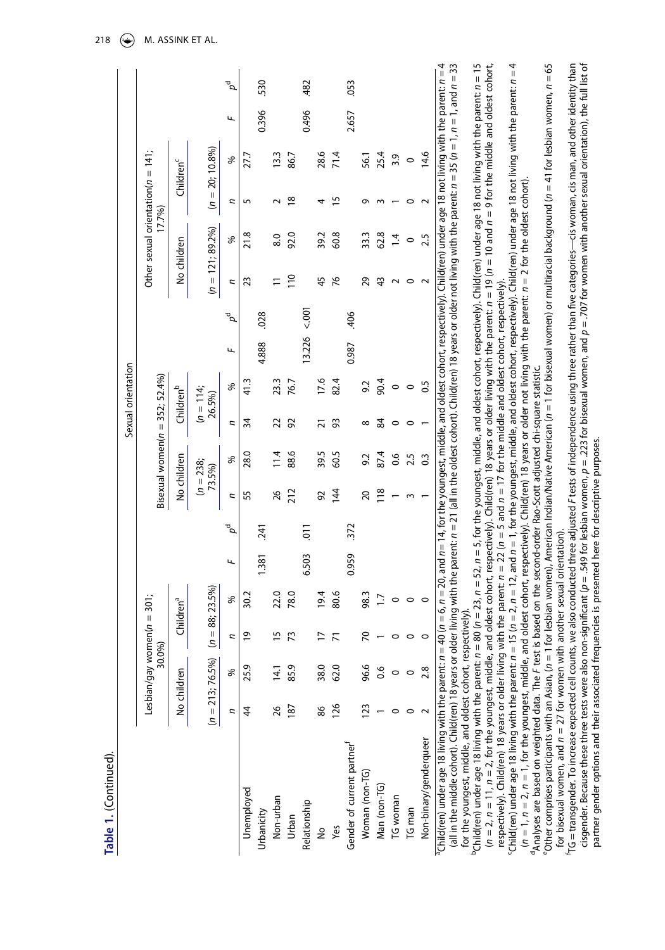| г |
|---|
|   |
|   |
|   |

|                                       |                                    |                       |                       | ъ<br>О              |                | 530        |                  |                     | 482            |                |                | .053                      |                |              |          |         |                        |
|---------------------------------------|------------------------------------|-----------------------|-----------------------|---------------------|----------------|------------|------------------|---------------------|----------------|----------------|----------------|---------------------------|----------------|--------------|----------|---------|------------------------|
|                                       |                                    |                       |                       | щ                   |                | 0.396      |                  |                     | 0.496          |                |                | 2.657                     |                |              |          |         |                        |
|                                       |                                    |                       |                       | ℅                   | 27.7           |            | 13.3             | 86.7                |                | 28.6           | 71.4           |                           | 56.1           | 25.4         | 3.9      | $\circ$ | 14.6                   |
|                                       |                                    | Children <sup>c</sup> | $(n = 20; 10.8\%)$    | ς                   |                |            |                  | $\overline{\infty}$ |                |                | 15             |                           |                |              |          |         | ٢                      |
| Other sexual orientation( $n = 141$ ; | 17.7%)                             |                       |                       | ℅                   | 21.8           |            | $\overline{8.0}$ | 92.0                |                | 39.2           | 60.8           |                           | 33.3           | 62.8         | 14       | $\circ$ | 2.5                    |
|                                       |                                    | No children           | $(n = 121; 89.2\%)$   | ς                   | 23             |            |                  | $\frac{0}{1}$       |                | 45             | 76             |                           | 29             | ₩            | ч        | 0       | $\sim$                 |
|                                       |                                    |                       |                       | $\rho^{\mathsf{d}}$ |                | .028       |                  |                     | $500 - 50$     |                |                | 406                       |                |              |          |         |                        |
|                                       |                                    |                       |                       | щ                   |                | 4.888      |                  |                     | 13.226         |                |                | 0.987                     |                |              |          |         |                        |
|                                       |                                    |                       |                       | ℅                   | 41.3           |            | 23.3             | 76.7                |                | 17.6           | 82.4           |                           | 9.2            | 90.4         | $\circ$  | 0       | $\frac{5}{2}$          |
| Sexual orientation                    |                                    | Children <sup>b</sup> | $(n = 114;$<br>26.5%) | ς                   | 34             |            | 22               | 92                  |                | ಸ              | 53             |                           | ∞              | 84           | 0        | 0       |                        |
|                                       |                                    |                       |                       | ℅                   | 28.0           |            | 11.4             | 88.6                |                | 39.5           | 60.5           |                           | 9.2            | 87.4         | 0.6      | 2.5     | $\frac{3}{2}$          |
|                                       | Bisexual women $(n = 352; 52.4\%)$ | No children           | $(n = 238;$<br>73.5%) | ς                   | 55             |            | 26               | 212                 |                | 92             | $\frac{14}{1}$ |                           | 20             | 118          |          |         |                        |
|                                       |                                    |                       |                       | $\sigma^d$          |                | .241       |                  |                     | $\overline{5}$ |                |                | 372                       |                |              |          |         |                        |
|                                       |                                    |                       |                       | щ                   |                | 1.381      |                  |                     | 6.503          |                |                | 0.959                     |                |              |          |         |                        |
|                                       |                                    |                       |                       | ℅                   | 30.2           |            | 22.0             | 78.0                |                | 19.4           | 80.6           |                           | 98.3           | 17           | 0        | 0       | 0                      |
|                                       |                                    | Children <sup>a</sup> | $(n = 88; 23.5\%)$    | Z                   | $\overline{9}$ |            | 5                | 13                  |                | $\overline{1}$ | 71             |                           | 20             |              |          | 0       | 0                      |
| Lesbian/gay women(n = 301;            | 30.0%)                             |                       |                       | ℅                   | 25.9           |            | 14.1             | 85.9                |                | 38.0           | 62.0           |                           | 96.6           | 0.6          |          |         | 2.8                    |
|                                       |                                    | No children           | $(n = 213; 76.5\%)$   | Ξ                   | 44             |            | 26               | 187                 |                | 86             | 126            |                           | 123            |              |          |         |                        |
|                                       |                                    |                       |                       |                     | Unemployed     | Urbanicity | Non-urban        | Urban               | Relationship   | ş              | Yes            | Gender of current partner | Woman (non-TG) | Man (non-TG) | TG woman | TG man  | Non-binary/genderqueer |

(all in the middle cohort). Child(ren) 18 years or older living with the parent:  $n=21$  (all in the oldest cohort). Child(ren) 18 years or older not living with the parent:  $n=35$  ( $n=1$ ,  $n=1$ , and  $n=33$ (all in the middle cohort). Child(ren) 18 years or older living with the parent:  $n = 21$  (all in the oldest cohort). Child(ren) 18 years or older not living with the parent:  $n = 35$  ( $n = 1$ ,  $n = 1$ ) and  $n = 33$ for the youngest, middle, and oldest cohort, respectively).<br>°Child(ren) under age 18 living with the parent: n = 80 (n = 23, n = 5, 1, n = 5, for the youngest, middle, and oldest cohort, respectively). Child(ren) under age for the youngest, middle, and oldest cohort, respectively)

'Child(ren) under age 18 living with the parent:  $n = 80$  ( $n = 23$ ,  $n = 5$ ,  $n = 5$ , for the youngest, middle, and oldest cohort, respectively). Child(ren) under age 18 not living with the parent:  $n = 15$  $(n = 2, n = 11, n = 2,$  for the youngest, middle, and oldest cohort, respectively). Child(ren) 18 years or older living with the parent:  $n = 19$  on = 10 and  $n = 9$  for the middle and oldest cohort,  $\tilde{c}$ hild(ren) under age 18 living with the parent:  $n = 15$  ( $n = 2$ ,  $n = 12$ , and  $n = 1$ , for the youngest, middle, and oldest cohort, respectively).  $\tilde{c}$ hild(ren) under age 18 not living with the parent:  $n = 4$ 'Child(ren) under age 18 living with the parent:  $n = 15$  ( $n = 2$ ,  $n = 15$  ( $n = 2$ ,  $n = 15$  and  $n = 1$ , for the youngest, middle, and oldest cohort, respectively). Child(ren) under age 18 not living with the parent:  $n = 4$  $(n = 2, n = 11, n = 2,$  for the youngest, middle, and oldest cohort, respectively). Child(ren) 18 years or older living with the parent:  $n = 19$  ( $n = 10$  and  $n = 9$  for the middle and oldest cohort, respectively). Child(ren) 18 years or older living with the parent: *n* = 22 (*n* = 5 and *n* = 17 for the middle and oldest cohort, respectively). respectively). Child(ren) 18 years or older living with the parent:  $n = 22$  ( $n = 5$  and  $n = 17$  for the middle and oldest cohort, respectively).

 $(n=1,\,n=2,\,n=1,$  for the youngest, middle, and oldest cohort, respectively). Child(ren) 18 years or older not living with the parent:  $n=2$  for the oldest cohort).<br>"Analyses are based on weighted data. The F test is based  $(n = 1, n = 2, n = 1)$  for the youngest, middle, and oldest cohort, respectively). Child(ren) 18 years or older not living with the parent:  $n = 2$  for the oldest cohort). Analyses are based on weighted data. The F test is based on the second-order Rao-Scott adjusted chi-square statistic.

eOther comprises participants with an Asian, (*n* = 1 for lesbian women), American Indian/Native American (*n* = 1 for bisexual women) or multiracial background (*n* = 41 for lesbian women, *n* = 65 <sup>5</sup>Other comprises participants with an Asian, (n = 1 for lesbian women), American Indian/Native American (n = 1 for bisexual women) or multiracial background (n = 41 for lesbian women, n = 65 for bisexual women, and  $n = 27$  for women with another sexual orientation). for bisexual women, and *n* = 27 for women with another sexual orientation).

fTG = transgender. To increase expected cell counts, we also conducted three adjusted *F* tests of independence using three rather than five categories—cis woman, cis man, and other identity than cisgender. Because these three tests were also non-significant ( $\rho$  = .549 for lesbian women,  $\rho$  = .223 for bisexual women, and  $\rho$  = .707 for women with another sexual orientation), the full list of cisgender. Because these three tests were also non-significant (*p* = .549 for lesbian women, *p* = .223 for bisexual women, and *p* = .707 for women with another sexual orientation), the full list of TG = transgender. To increase expected cell counts, we also conducted three adjusted F tests of independence using three rather than five categories—cis woman, cis man, and other identity than partner gender options and their associated frequencies is presented here for descriptive purposes. partner gender options and their associated frequencies is presented here for descriptive purposes.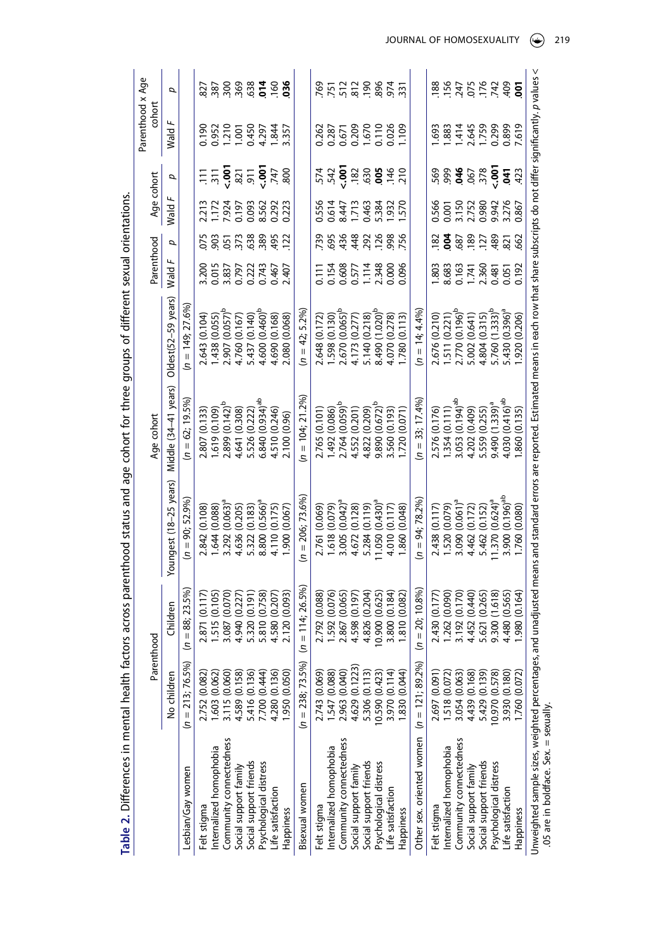<span id="page-15-0"></span>

| Table 2. Differences in mental health fa                                               |                                |                     | ctors across parenthood status and age cohort for three groups of different sexual orientations.                                                 |                             |                            |                   |                 |                                           |                                     |                                           |                  |
|----------------------------------------------------------------------------------------|--------------------------------|---------------------|--------------------------------------------------------------------------------------------------------------------------------------------------|-----------------------------|----------------------------|-------------------|-----------------|-------------------------------------------|-------------------------------------|-------------------------------------------|------------------|
|                                                                                        |                                | Parenthood          |                                                                                                                                                  | Age cohort                  |                            | Parenthood        |                 | Age cohort                                |                                     | Parenthood x Age<br>cohort                |                  |
|                                                                                        | No children                    | Children            | Youngest (18-25 years)                                                                                                                           | Middle (34–41 years)        | Oldest $(52-59$ years      | Wald              | Q               | Wald $F$                                  | σ                                   | Wald                                      | σ                |
| Lesbian/Gay women                                                                      | $(n = 213; 76.5\%)$            | $(n = 88; 23.5\%)$  | $(n = 90; 52.9\%)$                                                                                                                               | $(n = 62: 19.5\%$           | $(n = 149; 27.6\%$         |                   |                 |                                           |                                     |                                           |                  |
| Felt stigma                                                                            | 2.752 (0.082)                  | (0.117)<br>2.871    | 2.842 (0.108)                                                                                                                                    | 2.807 (0.133)               | 2.643 (0.104)              | 3.200             | 075             | 2.213                                     |                                     | 0.190                                     |                  |
| Internalized homophobia                                                                | .603(0.062)                    | 1.515 (0.105)       | .644(0.088)                                                                                                                                      | .619(0.109)                 | (250.0) 8£4.               | 0.015             | 903             |                                           | $\overline{311}$                    |                                           |                  |
| Community connectedness                                                                | 3.115 (0.060)                  | (0.070)<br>3.087    | 3.292 (0.063)                                                                                                                                    | 2.899 (0.142) <sup>b</sup>  | 2.907 (0.057) <sup>b</sup> | 3.837<br>0.797    | $\frac{5}{3}$   |                                           |                                     |                                           |                  |
|                                                                                        | 4.589 (0.158)                  | 4.940 0.227         | 4.636 (0.205)                                                                                                                                    | 4.641 (0.308)               | 4.760 (0.167)              |                   |                 |                                           | $rac{3}{2}$ $rac{3}{2}$ $rac{1}{2}$ |                                           |                  |
| Social support family<br>Social support friends                                        | 5.416 (0.136)<br>7.700 (0.444) | 5.320 (0.191)       | 5.322 (0.183)                                                                                                                                    | 5.526 (0.222)               | 5.437 (0.140)              | 0.222<br>0.743    | 638             | 1.173<br>7.924<br>0.093<br>0.293<br>0.293 |                                     | 0.952<br>1.210<br>1.001<br>1.844<br>4.297 | 3000000000000    |
| Psychological distress                                                                 |                                | 5.810 (0.758        | 8.800 (0.566) <sup>a</sup>                                                                                                                       | 6.840(0.934) <sup>ab</sup>  | 4.600 (0.460) <sup>b</sup> |                   | 389             |                                           | 6.47                                |                                           |                  |
| Life satisfaction                                                                      | 4.280 (0.136)                  | 4.580 0.207         | 4.110 (0.175)                                                                                                                                    | 4.510 (0.246)               | 4.690 (0.168)              | 0.467             | 495             |                                           |                                     |                                           |                  |
| Happiness                                                                              | .950 (0.050)                   | 2.120 (0.093)       | .900(0.067)                                                                                                                                      | 2.100 (0.96)                | 2.080 (0.068)              | 2.407             | 122             | 0.223                                     | 800                                 | 3.357                                     | $\overline{0}36$ |
| Bisexual women                                                                         | $(n = 238; 73.5\%)$            | $(n = 114; 26.5\%)$ | $(n = 206; 73.6\%)$                                                                                                                              | $(n = 104; 21.2\%)$         | $(n = 42; 5.2\%)$          |                   |                 |                                           |                                     |                                           |                  |
| Felt stigma                                                                            | 2.743 (0.069)                  | (0.088)<br>2.792    | 2.761 (0.069                                                                                                                                     | 2.765 (0.101                | 2.648 (0.172)              | $\overline{0.11}$ | 739             | 0.556                                     |                                     | 0.262                                     | 769              |
| Internalized homophobia                                                                | 1.547 (0.088)                  | (0.076)<br>1.592    | 1.618 (0.079)                                                                                                                                    | (0.086) 767                 | .598(0.130)                | 0.154             | 695             | 0.614                                     | 542                                 | 0.287                                     | 751              |
| Community connectedness                                                                | 2.963 (0.040)                  | (0.065)<br>2.867    | $3.005(0.042)^8$                                                                                                                                 | 2.764 (0.059) <sup>b</sup>  | 2.670 (0.065) <sup>b</sup> | 0.608             | 436             | 8.447                                     | $-00$                               |                                           |                  |
| Social support family                                                                  | 4.629 (0.1223)                 | 4.598 (0.197        | 4.672 (0.128)                                                                                                                                    | 4.552 (0.201)               | 4.173 (0.277)              | 0.577             | .448            | 1.713                                     | .182                                |                                           |                  |
| Social support friends                                                                 | 5.306 (0.113)                  | 4.826 (0.204)       | 5.284 (0.119)                                                                                                                                    | 4.822 (0.209)               | 5.140 (0.218)              | 1.114             | 292             | 0.463                                     | .630                                |                                           |                  |
| Psychological distress                                                                 | 10.590 (0.423)                 | 0.900 (0.625        | $11.050(0.430)^8$                                                                                                                                | $9.890(0.672)^b$            | 3.490 (1.020) <sup>E</sup> | 2.348             | .126            | 5.384<br>1.932                            | $rac{3}{100}$                       | 0.671<br>0.209<br>1.670<br>0.110<br>0.026 | 72887            |
| Life satisfaction                                                                      | 3.970 (0.114)                  | 3.800 (0.184        | 4.010 (0.117)                                                                                                                                    | 3.560 (0.193)               | 4.070 (0.278)              |                   | 998             |                                           |                                     |                                           |                  |
| Happiness                                                                              | 830 (0.044)                    | 1.810 (0.082        | 860 (0.048)                                                                                                                                      | (0.071)<br>.720             | .780(0.113)                | 0.096             | 756             | 570                                       | 210                                 | 109                                       | $\overline{33}$  |
| Other sex. oriented women $(n = 121; 89.2\%)$                                          |                                | $(n = 20:10.8\%$    | $(n = 94; 78.2\%)$                                                                                                                               | $(n = 33; 17.4\%$           | $(n = 14:4.4\%)$           |                   |                 |                                           |                                     |                                           |                  |
| Felt stigma                                                                            | 2.697 (0.091)                  | 2.430 (0.177)       | 2.438 (0.117)                                                                                                                                    | 2.576 (0.176)               | 2.676 (0.210)              | $-803$            | $\frac{182}{2}$ | 0.566                                     | 569                                 | 593.                                      | 188              |
| Internalized homophobia                                                                | .518(0.072)                    | (0.090)<br>1.262    | 1.520 (0.079)                                                                                                                                    | .354(0.111)                 | .511(0.221)                | 8.683             | ê               | <b>000</b>                                | 999                                 | 1.883                                     | <b>156</b>       |
| Community connectedness                                                                | 3.054 (0.063)                  | (0.170)<br>3.192    | $3.090~(0.061)^8$                                                                                                                                | 3.053 (0.194) <sup>ab</sup> | 2.770 (0.196) <sup>b</sup> | 0.163             | .687            | 3.15C                                     | 646                                 | 1.414                                     | 247              |
| Social support family                                                                  | 4.439 (0.168)                  | (0.440)<br>4.452    | 4.462 (0.172)                                                                                                                                    | 4.202 (0.409)               | 5.002 (0.641)              | 1.741             | .189            | 2.752                                     | .067                                | 2.645                                     |                  |
| Social support friends                                                                 | 5.429 (0.139)                  | 5.621 (0.265)       | 5.462 (0.152)                                                                                                                                    | 5.559 (0.255)               | 4.804 (0.315)              | 2.360             | 127             | 0.980                                     | .378                                | 1.759                                     | 515<br>28<br>20  |
| Psychological distress                                                                 | 0.970 (0.578)                  | 9.300 (1.618)       | $1.370(0.624)^a$                                                                                                                                 | $9.490(1.339)^a$            | 5.760 (1.333) <sup>b</sup> | 0.48              | 489             | 9.942                                     | $rac{6}{x}$                         | 0.299                                     |                  |
| Life satisfaction                                                                      | 3.930 (0.180)                  | 4.480 (0.565        | 3.900 (0.196) <sup>ab</sup>                                                                                                                      | 4.030 (0.416) <sup>ab</sup> | $5.430(0.396)^8$           | 0.05              | $-821$          | 3.276                                     | 5                                   | 0.899                                     | 409              |
| Happiness                                                                              | .760 (0.072)                   | 1.980 0.164         | 1.760 (0.080                                                                                                                                     | .860 (0.135)                | .920 (0.206)               | 0.192             | 662             | 0.867                                     | 423                                 | 7.619                                     | ទ្វ              |
| Unweighted sample sizes, weighted percentages<br>.05 are in boldface. Sex. = sexually. |                                |                     | and unadjusted means and standard errors are reported. Estimated means in each row that share subscripts do not differ significantly. p values < |                             |                            |                   |                 |                                           |                                     |                                           |                  |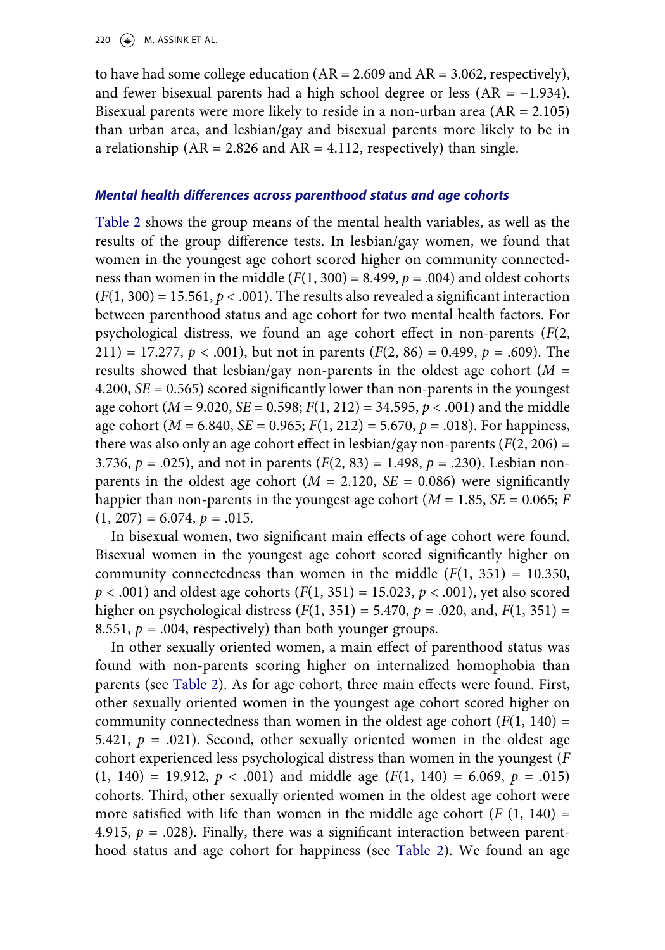to have had some college education  $(AR = 2.609$  and  $AR = 3.062$ , respectively), and fewer bisexual parents had a high school degree or less (AR = −1.934). Bisexual parents were more likely to reside in a non-urban area  $(AR = 2.105)$ than urban area, and lesbian/gay and bisexual parents more likely to be in a relationship ( $AR = 2.826$  and  $AR = 4.112$ , respectively) than single.

### *Mental health differences across parenthood status and age cohorts*

[Table 2](#page-15-0) shows the group means of the mental health variables, as well as the results of the group difference tests. In lesbian/gay women, we found that women in the youngest age cohort scored higher on community connectedness than women in the middle  $(F(1, 300) = 8.499, p = .004)$  and oldest cohorts  $(F(1, 300) = 15.561, p < .001)$ . The results also revealed a significant interaction between parenthood status and age cohort for two mental health factors. For psychological distress, we found an age cohort effect in non-parents (*F*(2, 211) = 17.277,  $p < .001$ ), but not in parents ( $F(2, 86) = 0.499$ ,  $p = .609$ ). The results showed that lesbian/gay non-parents in the oldest age cohort (*M* = 4.200, *SE* = 0.565) scored significantly lower than non-parents in the youngest age cohort (*M* = 9.020, *SE* = 0.598; *F*(1, 212) = 34.595, *p* < .001) and the middle age cohort (*M* = 6.840, *SE* = 0.965; *F*(1, 212) = 5.670, *p* = .018). For happiness, there was also only an age cohort effect in lesbian/gay non-parents  $(F(2, 206) =$ 3.736,  $p = .025$ ), and not in parents  $(F(2, 83) = 1.498, p = .230)$ . Lesbian nonparents in the oldest age cohort ( $M = 2.120$ ,  $SE = 0.086$ ) were significantly happier than non-parents in the youngest age cohort ( $M = 1.85$ ,  $SE = 0.065$ ;  $F = 0.065$  $(1, 207) = 6.074, p = .015.$ 

In bisexual women, two significant main effects of age cohort were found. Bisexual women in the youngest age cohort scored significantly higher on community connectedness than women in the middle  $(F(1, 351) = 10.350,$ *p* < .001) and oldest age cohorts (*F*(1, 351) = 15.023, *p* < .001), yet also scored higher on psychological distress  $(F(1, 351) = 5.470, p = .020, \text{ and}, F(1, 351) =$ 8.551,  $p = .004$ , respectively) than both younger groups.

In other sexually oriented women, a main effect of parenthood status was found with non-parents scoring higher on internalized homophobia than parents (see [Table 2\)](#page-15-0). As for age cohort, three main effects were found. First, other sexually oriented women in the youngest age cohort scored higher on community connectedness than women in the oldest age cohort  $(F(1, 140) =$ 5.421,  $p = .021$ ). Second, other sexually oriented women in the oldest age cohort experienced less psychological distress than women in the youngest (*F*   $(1, 140) = 19.912, p < .001$  and middle age  $(F(1, 140) = 6.069, p = .015)$ cohorts. Third, other sexually oriented women in the oldest age cohort were more satisfied with life than women in the middle age cohort  $(F (1, 140) =$ 4.915,  $p = .028$ ). Finally, there was a significant interaction between parenthood status and age cohort for happiness (see [Table 2](#page-15-0)). We found an age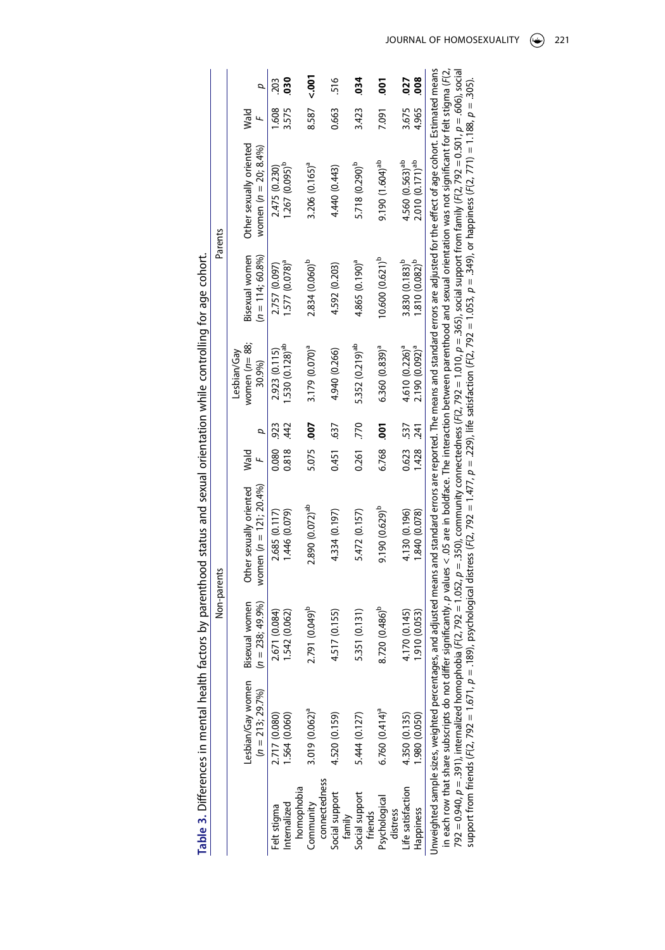<span id="page-17-0"></span>

|             |             |                         |                            | 203           | នី                          |            | <b>SQ:</b> >                |               | 516            |        | 34                          |         | <b>So</b>                   |          | .027                        | 80g                        |                                                                                                                                               |                                                                                                                                                        |                                                                                                                                                                                                     |                                                                                                                                                                                                     |
|-------------|-------------|-------------------------|----------------------------|---------------|-----------------------------|------------|-----------------------------|---------------|----------------|--------|-----------------------------|---------|-----------------------------|----------|-----------------------------|----------------------------|-----------------------------------------------------------------------------------------------------------------------------------------------|--------------------------------------------------------------------------------------------------------------------------------------------------------|-----------------------------------------------------------------------------------------------------------------------------------------------------------------------------------------------------|-----------------------------------------------------------------------------------------------------------------------------------------------------------------------------------------------------|
|             |             | Wald                    |                            | .608          | 3.575                       |            | 8.587                       |               | 0.663          |        | 3.423                       |         | 7.091                       |          | 3.675                       | 4.965                      |                                                                                                                                               |                                                                                                                                                        |                                                                                                                                                                                                     |                                                                                                                                                                                                     |
| Parents     |             | Other sexually oriented | women $(n = 20, 8.4\%)$    | 2.475 (0.230) | 1.267 (0.095) <sup>p</sup>  |            | 3.206 (0.165) <sup>a</sup>  |               | 4.440 (0.443)  |        | 5.718 (0.290) <sup>b</sup>  |         | 9.190 (1.604) <sup>ab</sup> |          | 4.560 (0.563) <sup>ab</sup> | 2.010(0.171) <sup>ab</sup> |                                                                                                                                               |                                                                                                                                                        |                                                                                                                                                                                                     |                                                                                                                                                                                                     |
|             |             | Bisexual women          | $(n = 114; 60.8\%)$        | 2.757 (0.097) | $.577(0.078)^4$             |            | 2.834 (0.060) <sup>p</sup>  |               | 4.592 (0.203)  |        | 4.865 (0.190) <sup>a</sup>  |         | $10.600(0.621)^p$           |          | 3.830 (0.183) <sup>b</sup>  | $-0.810(0.082)^p$          |                                                                                                                                               |                                                                                                                                                        |                                                                                                                                                                                                     |                                                                                                                                                                                                     |
|             | Lesbian/Gav | women $(n=88;$          | 30.9%)                     | 2.923 (0.115) | $-530(0.128)$ <sup>ab</sup> |            | 3.179 (0.070) <sup>a</sup>  |               | 4.940 (0.266)  |        | 5.352 (0.219) <sup>ab</sup> |         | 6.360(0.839) <sup>a</sup>   |          | 4.610 (0.226) <sup>a</sup>  | 2.190 (0.092) <sup>a</sup> |                                                                                                                                               |                                                                                                                                                        |                                                                                                                                                                                                     |                                                                                                                                                                                                     |
|             |             |                         |                            | 923           | 42                          |            | 500                         |               | .637           |        | 770                         |         | 5o                          |          |                             | 1.428 .241                 |                                                                                                                                               |                                                                                                                                                        |                                                                                                                                                                                                     |                                                                                                                                                                                                     |
|             |             | Wald                    | L,                         | 0.080         | 0.818                       |            | 5.075                       |               | 0.451          |        | 0.261                       |         | 6.768                       |          | 0.623 537                   |                            |                                                                                                                                               |                                                                                                                                                        |                                                                                                                                                                                                     |                                                                                                                                                                                                     |
|             |             | Other sexually oriented | women ( $n = 121$ ; 20.4%) | 2.685 (0.117) | 1.446 (0.079)               |            | 2.890 (0.072) <sup>ab</sup> |               | 4.334 (0.197)  |        | 5.472 (0.157)               |         | 9.190 (0.629) <sup>b</sup>  |          | 4.130 (0.196)               | 1.840 (0.078)              | and adjusted means and standard errors are reported. The means and standard errors are adjusted for the effect of age cohort. Estimated means | significantly. $p$ values $<$ .05 are in boldface. The interaction between parenthood and sexual orientation was not significant for felt stigma (F(2, | 792 = 0.940, p = .391), internalized homophobia (F(2, 792 = 1.052, p = .350), community connectedness (F(2, 792 = 1.010, p = .365), social support from family (F(2, 792 = 0.501, p = .606), social | support from friends (F(2, 792 = 1.671, p = 1.89), psychological distress (F(2, 792 = 1.477, p = .229), life satisfaction (F(2, 792 = 1.053, p = .349), or happiness (F(2, 771) = 1.188, p = .305). |
| Non-parents |             | Bisexual women          | $(n = 238; 49.9\%)$        | .671(0.084)   | .542 (0.062)                |            | 791 (0.049) <sup>b</sup>    |               | 4.517 (0.155)  |        | .351(0.131)                 |         | $.720(0.486)^b$<br>∞        |          | 1.70 (0.145)                | .910(0.053)                |                                                                                                                                               |                                                                                                                                                        |                                                                                                                                                                                                     |                                                                                                                                                                                                     |
|             |             | Lesbian/Gay women       | $(n = 213; 29.7%)$         | 2.717 (0.080) | .564 (0.060)                |            | 3.019 (0.062) <sup>a</sup>  |               | 4.520 (0.159)  |        | 5.444 (0.127)               |         | $6.760(0.414)^{a}$          |          | 4.350 (0.135)               | 980 (0.050)                | Jnweighted sample sizes, weighted percentages,                                                                                                | in each row that share subscripts do not differ                                                                                                        |                                                                                                                                                                                                     |                                                                                                                                                                                                     |
|             |             |                         |                            | Felt stigma   | Internalized                | homophobia | Community                   | connectedness | Social support | family | Social support              | friends | Psychological               | distress | Life satisfaction           | Happiness                  |                                                                                                                                               |                                                                                                                                                        |                                                                                                                                                                                                     |                                                                                                                                                                                                     |

Table 3. Differences in mental health factors by parenthood status and sexual orientation while controlling for age cohort. **Table 3.** Differences in mental health factors by parenthood status and sexual orientation while controlling for age cohort.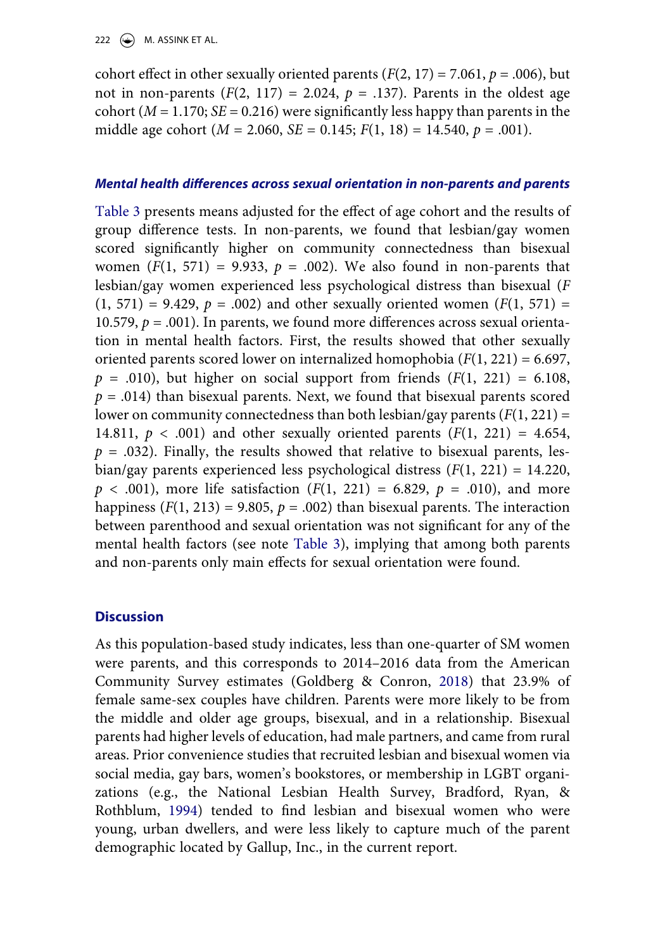cohort effect in other sexually oriented parents  $(F(2, 17) = 7.061, p = .006)$ , but not in non-parents  $(F(2, 117) = 2.024, p = .137)$ . Parents in the oldest age cohort ( $M = 1.170$ ;  $SE = 0.216$ ) were significantly less happy than parents in the middle age cohort (*M* = 2.060, *SE* = 0.145; *F*(1, 18) = 14.540, *p* = .001).

### *Mental health differences across sexual orientation in non-parents and parents*

[Table 3](#page-17-0) presents means adjusted for the effect of age cohort and the results of group difference tests. In non-parents, we found that lesbian/gay women scored significantly higher on community connectedness than bisexual women  $(F(1, 571) = 9.933, p = .002)$ . We also found in non-parents that lesbian/gay women experienced less psychological distress than bisexual (*F*   $(1, 571) = 9.429$ ,  $p = .002$ ) and other sexually oriented women  $(F(1, 571)) =$ 10.579,  $p = .001$ ). In parents, we found more differences across sexual orientation in mental health factors. First, the results showed that other sexually oriented parents scored lower on internalized homophobia (*F*(1, 221) = 6.697,  $p = .010$ ), but higher on social support from friends  $(F(1, 221) = 6.108$ ,  $p = .014$ ) than bisexual parents. Next, we found that bisexual parents scored lower on community connectedness than both lesbian/gay parents (*F*(1, 221) = 14.811,  $p < .001$ ) and other sexually oriented parents  $(F(1, 221) = 4.654,$  $p = .032$ ). Finally, the results showed that relative to bisexual parents, lesbian/gay parents experienced less psychological distress (*F*(1, 221) = 14.220,  $p < .001$ ), more life satisfaction  $(F(1, 221) = 6.829, p = .010)$ , and more happiness  $(F(1, 213) = 9.805, p = .002)$  than bisexual parents. The interaction between parenthood and sexual orientation was not significant for any of the mental health factors (see note [Table 3\)](#page-17-0), implying that among both parents and non-parents only main effects for sexual orientation were found.

### **Discussion**

<span id="page-18-1"></span><span id="page-18-0"></span>As this population-based study indicates, less than one-quarter of SM women were parents, and this corresponds to 2014–2016 data from the American Community Survey estimates (Goldberg & Conron, [2018\)](#page-23-14) that 23.9% of female same-sex couples have children. Parents were more likely to be from the middle and older age groups, bisexual, and in a relationship. Bisexual parents had higher levels of education, had male partners, and came from rural areas. Prior convenience studies that recruited lesbian and bisexual women via social media, gay bars, women's bookstores, or membership in LGBT organizations (e.g., the National Lesbian Health Survey, Bradford, Ryan, & Rothblum, [1994\)](#page-22-14) tended to find lesbian and bisexual women who were young, urban dwellers, and were less likely to capture much of the parent demographic located by Gallup, Inc., in the current report.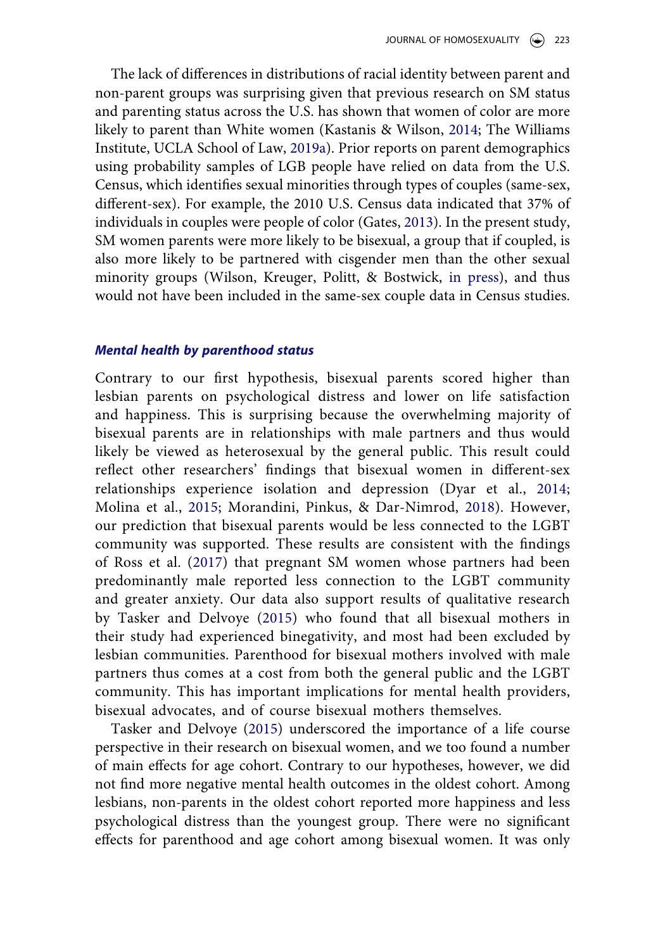The lack of differences in distributions of racial identity between parent and non-parent groups was surprising given that previous research on SM status and parenting status across the U.S. has shown that women of color are more likely to parent than White women (Kastanis & Wilson, [2014](#page-23-3); The Williams Institute, UCLA School of Law, [2019a](#page-24-10)). Prior reports on parent demographics using probability samples of LGB people have relied on data from the U.S. Census, which identifies sexual minorities through types of couples (same-sex, different-sex). For example, the 2010 U.S. Census data indicated that 37% of individuals in couples were people of color (Gates, [2013](#page-22-15)). In the present study, SM women parents were more likely to be bisexual, a group that if coupled, is also more likely to be partnered with cisgender men than the other sexual minority groups (Wilson, Kreuger, Politt, & Bostwick, [in press](#page-25-2)), and thus would not have been included in the same-sex couple data in Census studies.

#### <span id="page-19-2"></span><span id="page-19-0"></span>*Mental health by parenthood status*

<span id="page-19-1"></span>Contrary to our first hypothesis, bisexual parents scored higher than lesbian parents on psychological distress and lower on life satisfaction and happiness. This is surprising because the overwhelming majority of bisexual parents are in relationships with male partners and thus would likely be viewed as heterosexual by the general public. This result could reflect other researchers' findings that bisexual women in different-sex relationships experience isolation and depression (Dyar et al., [2014](#page-22-7); Molina et al., [2015](#page-24-14); Morandini, Pinkus, & Dar-Nimrod, [2018](#page-24-15)). However, our prediction that bisexual parents would be less connected to the LGBT community was supported. These results are consistent with the findings of Ross et al. [\(2017\)](#page-24-7) that pregnant SM women whose partners had been predominantly male reported less connection to the LGBT community and greater anxiety. Our data also support results of qualitative research by Tasker and Delvoye ([2015](#page-24-4)) who found that all bisexual mothers in their study had experienced binegativity, and most had been excluded by lesbian communities. Parenthood for bisexual mothers involved with male partners thus comes at a cost from both the general public and the LGBT community. This has important implications for mental health providers, bisexual advocates, and of course bisexual mothers themselves.

Tasker and Delvoye [\(2015\)](#page-24-4) underscored the importance of a life course perspective in their research on bisexual women, and we too found a number of main effects for age cohort. Contrary to our hypotheses, however, we did not find more negative mental health outcomes in the oldest cohort. Among lesbians, non-parents in the oldest cohort reported more happiness and less psychological distress than the youngest group. There were no significant effects for parenthood and age cohort among bisexual women. It was only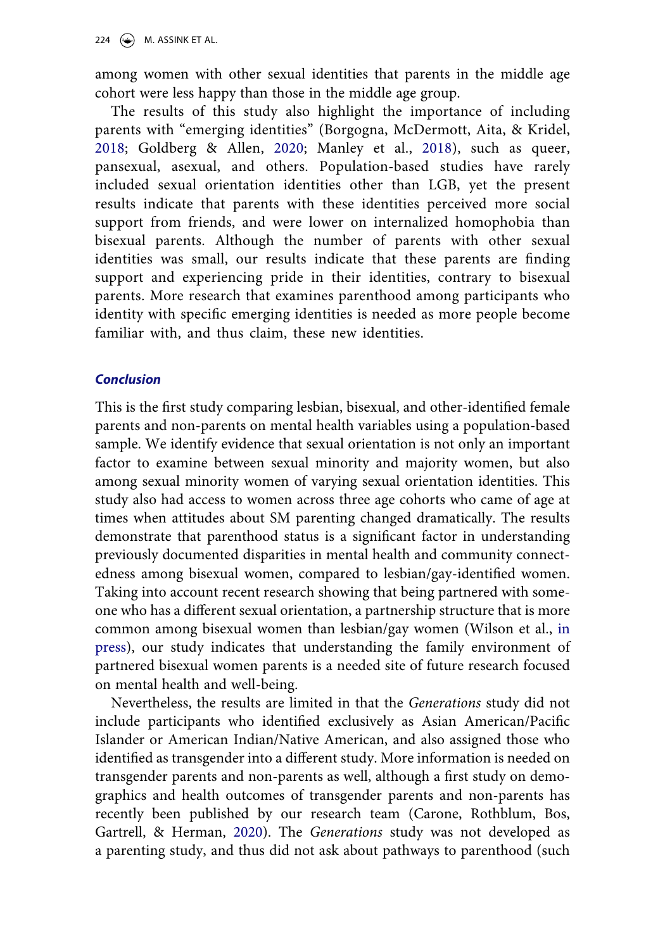among women with other sexual identities that parents in the middle age cohort were less happy than those in the middle age group.

<span id="page-20-0"></span>The results of this study also highlight the importance of including parents with "emerging identities" (Borgogna, McDermott, Aita, & Kridel, [2018;](#page-21-4) Goldberg & Allen, [2020](#page-22-10); Manley et al., [2018\)](#page-23-2), such as queer, pansexual, asexual, and others. Population-based studies have rarely included sexual orientation identities other than LGB, yet the present results indicate that parents with these identities perceived more social support from friends, and were lower on internalized homophobia than bisexual parents. Although the number of parents with other sexual identities was small, our results indicate that these parents are finding support and experiencing pride in their identities, contrary to bisexual parents. More research that examines parenthood among participants who identity with specific emerging identities is needed as more people become familiar with, and thus claim, these new identities.

### *Conclusion*

This is the first study comparing lesbian, bisexual, and other-identified female parents and non-parents on mental health variables using a population-based sample. We identify evidence that sexual orientation is not only an important factor to examine between sexual minority and majority women, but also among sexual minority women of varying sexual orientation identities. This study also had access to women across three age cohorts who came of age at times when attitudes about SM parenting changed dramatically. The results demonstrate that parenthood status is a significant factor in understanding previously documented disparities in mental health and community connectedness among bisexual women, compared to lesbian/gay-identified women. Taking into account recent research showing that being partnered with someone who has a different sexual orientation, a partnership structure that is more common among bisexual women than lesbian/gay women (Wilson et al., [in](#page-25-2) [press\)](#page-25-2), our study indicates that understanding the family environment of partnered bisexual women parents is a needed site of future research focused on mental health and well-being.

<span id="page-20-1"></span>Nevertheless, the results are limited in that the *Generations* study did not include participants who identified exclusively as Asian American/Pacific Islander or American Indian/Native American, and also assigned those who identified as transgender into a different study. More information is needed on transgender parents and non-parents as well, although a first study on demographics and health outcomes of transgender parents and non-parents has recently been published by our research team (Carone, Rothblum, Bos, Gartrell, & Herman, [2020\)](#page-22-16). The *Generations* study was not developed as a parenting study, and thus did not ask about pathways to parenthood (such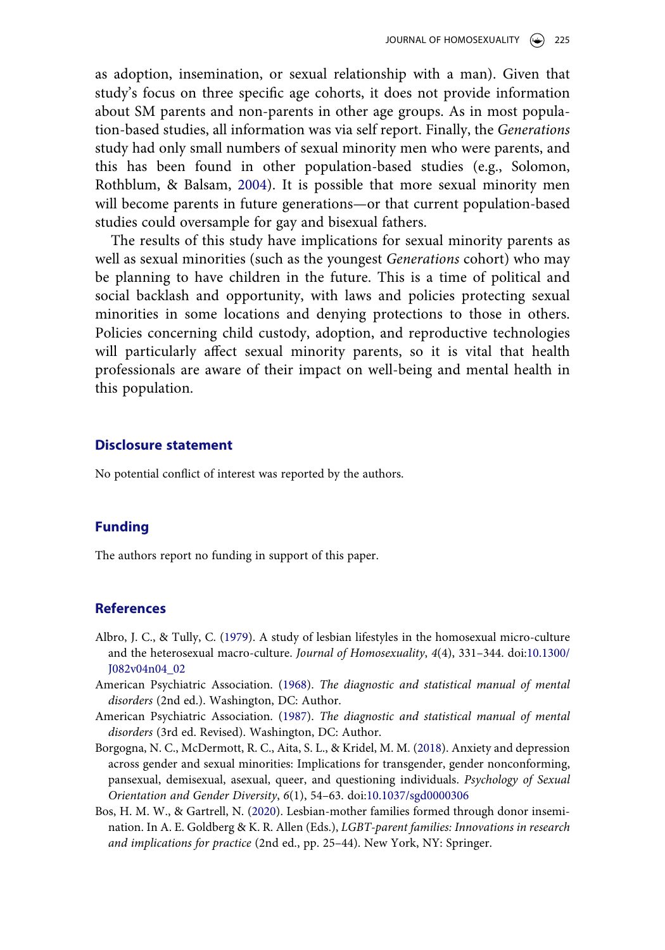as adoption, insemination, or sexual relationship with a man). Given that study's focus on three specific age cohorts, it does not provide information about SM parents and non-parents in other age groups. As in most population-based studies, all information was via self report. Finally, the *Generations*  study had only small numbers of sexual minority men who were parents, and this has been found in other population-based studies (e.g., Solomon, Rothblum, & Balsam, [2004](#page-24-16)). It is possible that more sexual minority men will become parents in future generations—or that current population-based studies could oversample for gay and bisexual fathers.

<span id="page-21-5"></span>The results of this study have implications for sexual minority parents as well as sexual minorities (such as the youngest *Generations* cohort) who may be planning to have children in the future. This is a time of political and social backlash and opportunity, with laws and policies protecting sexual minorities in some locations and denying protections to those in others. Policies concerning child custody, adoption, and reproductive technologies will particularly affect sexual minority parents, so it is vital that health professionals are aware of their impact on well-being and mental health in this population.

### **Disclosure statement**

No potential conflict of interest was reported by the authors.

#### **Funding**

The authors report no funding in support of this paper.

### **References**

- <span id="page-21-0"></span>Albro, J. C., & Tully, C. ([1979](#page-1-2)). A study of lesbian lifestyles in the homosexual micro-culture and the heterosexual macro-culture. *Journal of Homosexuality*, *4*(4), 331–344. doi:[10.1300/](https://doi.org/10.1300/J082v04n04_02) [J082v04n04\\_02](https://doi.org/10.1300/J082v04n04_02)
- <span id="page-21-1"></span>American Psychiatric Association. [\(1968\)](#page-2-0). *The diagnostic and statistical manual of mental disorders* (2nd ed.). Washington, DC: Author.
- <span id="page-21-2"></span>American Psychiatric Association. [\(1987\)](#page-2-1). *The diagnostic and statistical manual of mental disorders* (3rd ed. Revised). Washington, DC: Author.
- <span id="page-21-4"></span>Borgogna, N. C., McDermott, R. C., Aita, S. L., & Kridel, M. M. [\(2018\)](#page-20-0). Anxiety and depression across gender and sexual minorities: Implications for transgender, gender nonconforming, pansexual, demisexual, asexual, queer, and questioning individuals. *Psychology of Sexual Orientation and Gender Diversity*, *6*(1), 54–63. doi:[10.1037/sgd0000306](https://doi.org/10.1037/sgd0000306)
- <span id="page-21-3"></span>Bos, H. M. W., & Gartrell, N. ([2020](#page-3-0)). Lesbian-mother families formed through donor insemination. In A. E. Goldberg & K. R. Allen (Eds.), *LGBT-parent families: Innovations in research and implications for practice* (2nd ed., pp. 25–44). New York, NY: Springer.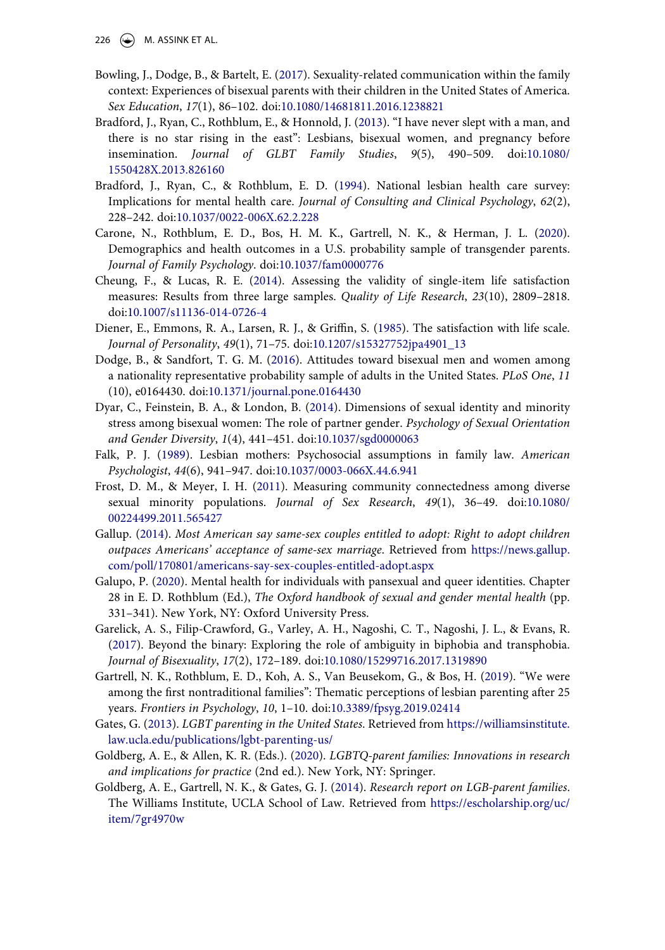226  $\left(\rightarrow\right)$  M. ASSINK ET AL.

- <span id="page-22-8"></span>Bowling, J., Dodge, B., & Bartelt, E. [\(2017\)](#page-4-0). Sexuality-related communication within the family context: Experiences of bisexual parents with their children in the United States of America. *Sex Education*, *17*(1), 86–102. doi:[10.1080/14681811.2016.1238821](https://doi.org/10.1080/14681811.2016.1238821)
- <span id="page-22-0"></span>Bradford, J., Ryan, C., Rothblum, E., & Honnold, J. ([2013\)](#page-2-2). "I have never slept with a man, and there is no star rising in the east": Lesbians, bisexual women, and pregnancy before insemination. *Journal of GLBT Family Studies*, *9*(5), 490–509. doi:[10.1080/](https://doi.org/10.1080/1550428X.2013.826160)  [1550428X.2013.826160](https://doi.org/10.1080/1550428X.2013.826160)
- <span id="page-22-14"></span>Bradford, J., Ryan, C., & Rothblum, E. D. ([1994\)](#page-18-0). National lesbian health care survey: Implications for mental health care. *Journal of Consulting and Clinical Psychology*, *62*(2), 228–242. doi:[10.1037/0022-006X.62.2.228](https://doi.org/10.1037/0022-006X.62.2.228)
- <span id="page-22-16"></span>Carone, N., Rothblum, E. D., Bos, H. M. K., Gartrell, N. K., & Herman, J. L. [\(2020\)](#page-20-1). Demographics and health outcomes in a U.S. probability sample of transgender parents. *Journal of Family Psychology*. doi:[10.1037/fam0000776](https://doi.org/10.1037/fam0000776)
- <span id="page-22-12"></span>Cheung, F., & Lucas, R. E. [\(2014](#page-9-0)). Assessing the validity of single-item life satisfaction measures: Results from three large samples. *Quality of Life Research*, *23*(10), 2809–2818. doi:[10.1007/s11136-014-0726-4](https://doi.org/10.1007/s11136-014-0726-4)
- <span id="page-22-11"></span>Diener, E., Emmons, R. A., Larsen, R. J., & Griffin, S. [\(1985](#page-8-0)). The satisfaction with life scale. *Journal of Personality*, *49*(1), 71–75. doi:[10.1207/s15327752jpa4901\\_13](https://doi.org/10.1207/s15327752jpa4901_13)
- <span id="page-22-5"></span>Dodge, B., & Sandfort, T. G. M. [\(2016\)](#page-4-1). Attitudes toward bisexual men and women among a nationality representative probability sample of adults in the United States. *PLoS One*, *11*  (10), e0164430. doi:[10.1371/journal.pone.0164430](https://doi.org/10.1371/journal.pone.0164430)
- <span id="page-22-7"></span>Dyar, C., Feinstein, B. A., & London, B. ([2014\)](#page-4-2). Dimensions of sexual identity and minority stress among bisexual women: The role of partner gender. *Psychology of Sexual Orientation and Gender Diversity*, *1*(4), 441–451. doi:[10.1037/sgd0000063](https://doi.org/10.1037/sgd0000063)
- <span id="page-22-2"></span>Falk, P. J. [\(1989\)](#page-2-3). Lesbian mothers: Psychosocial assumptions in family law. *American Psychologist*, *44*(6), 941–947. doi:[10.1037/0003-066X.44.6.941](https://doi.org/10.1037/0003-066X.44.6.941)
- <span id="page-22-13"></span>Frost, D. M., & Meyer, I. H. ([2011\)](#page-10-0). Measuring community connectedness among diverse sexual minority populations. *Journal of Sex Research*, *49*(1), 36–49. doi:[10.1080/](https://doi.org/10.1080/00224499.2011.565427)  [00224499.2011.565427](https://doi.org/10.1080/00224499.2011.565427)
- <span id="page-22-4"></span>Gallup. [\(2014](#page-3-1)). *Most American say same-sex couples entitled to adopt: Right to adopt children outpaces Americans' acceptance of same-sex marriage*. Retrieved from [https://news.gallup.](https://news.gallup.com/poll/170801/americans-say-sex-couples-entitled-adopt.aspx) [com/poll/170801/americans-say-sex-couples-entitled-adopt.aspx](https://news.gallup.com/poll/170801/americans-say-sex-couples-entitled-adopt.aspx)
- <span id="page-22-9"></span>Galupo, P. [\(2020\)](#page-4-3). Mental health for individuals with pansexual and queer identities. Chapter 28 in E. D. Rothblum (Ed.), *The Oxford handbook of sexual and gender mental health* (pp. 331–341). New York, NY: Oxford University Press.
- <span id="page-22-6"></span>Garelick, A. S., Filip-Crawford, G., Varley, A. H., Nagoshi, C. T., Nagoshi, J. L., & Evans, R. [\(2017\)](#page-4-1). Beyond the binary: Exploring the role of ambiguity in biphobia and transphobia. *Journal of Bisexuality*, *17*(2), 172–189. doi:[10.1080/15299716.2017.1319890](https://doi.org/10.1080/15299716.2017.1319890)
- <span id="page-22-3"></span>Gartrell, N. K., Rothblum, E. D., Koh, A. S., Van Beusekom, G., & Bos, H. [\(2019\)](#page-3-2). "We were among the first nontraditional families": Thematic perceptions of lesbian parenting after 25 years. *Frontiers in Psychology*, *10*, 1–10. doi:[10.3389/fpsyg.2019.02414](https://doi.org/10.3389/fpsyg.2019.02414)
- <span id="page-22-15"></span>Gates, G. [\(2013](#page-19-0)). *LGBT parenting in the United States*. Retrieved from [https://williamsinstitute.](https://williamsinstitute.law.ucla.edu/publications/lgbt-parenting-us/)  [law.ucla.edu/publications/lgbt-parenting-us/](https://williamsinstitute.law.ucla.edu/publications/lgbt-parenting-us/)
- <span id="page-22-10"></span>Goldberg, A. E., & Allen, K. R. (Eds.). [\(2020\)](#page-4-4). *LGBTQ-parent families: Innovations in research and implications for practice* (2nd ed.). New York, NY: Springer.
- <span id="page-22-1"></span>Goldberg, A. E., Gartrell, N. K., & Gates, G. J. ([2014](#page-2-4)). *Research report on LGB-parent families*. The Williams Institute, UCLA School of Law. Retrieved from [https://escholarship.org/uc/](https://escholarship.org/uc/item/7gr4970w)  [item/7gr4970w](https://escholarship.org/uc/item/7gr4970w)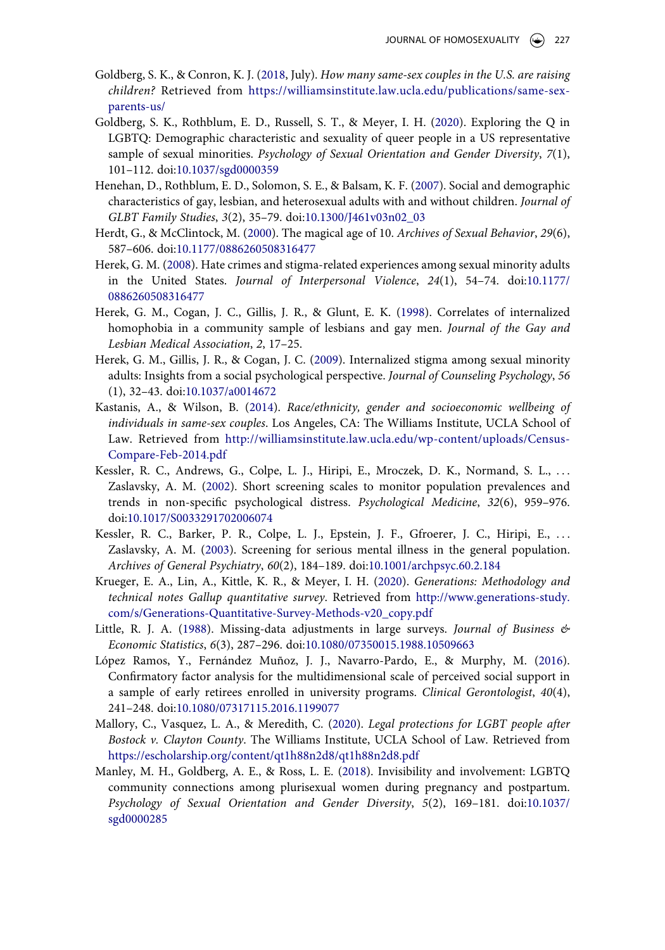- <span id="page-23-14"></span>Goldberg, S. K., & Conron, K. J. ([2018](#page-18-1), July). *How many same-sex couples in the U.S. are raising children?* Retrieved from [https://williamsinstitute.law.ucla.edu/publications/same-sex](https://williamsinstitute.law.ucla.edu/publications/same-sex-parents-us/)[parents-us/](https://williamsinstitute.law.ucla.edu/publications/same-sex-parents-us/)
- <span id="page-23-1"></span>Goldberg, S. K., Rothblum, E. D., Russell, S. T., & Meyer, I. H. ([2020\)](#page-4-3). Exploring the Q in LGBTQ: Demographic characteristic and sexuality of queer people in a US representative sample of sexual minorities. *Psychology of Sexual Orientation and Gender Diversity*, *7*(1), 101–112. doi:[10.1037/sgd0000359](https://doi.org/10.1037/sgd0000359)
- <span id="page-23-4"></span>Henehan, D., Rothblum, E. D., Solomon, S. E., & Balsam, K. F. ([2007\)](#page-5-0). Social and demographic characteristics of gay, lesbian, and heterosexual adults with and without children. *Journal of GLBT Family Studies*, *3*(2), 35–79. doi:[10.1300/J461v03n02\\_03](https://doi.org/10.1300/J461v03n02_03)
- <span id="page-23-6"></span>Herdt, G., & McClintock, M. ([2000\)](#page-7-0). The magical age of 10. *Archives of Sexual Behavior*, *29*(6), 587–606. doi:[10.1177/0886260508316477](https://doi.org/10.1177/0886260508316477)
- <span id="page-23-10"></span>Herek, G. M. ([2008\)](#page-9-1). Hate crimes and stigma-related experiences among sexual minority adults in the United States. *Journal of Interpersonal Violence*, *24*(1), 54–74. doi:[10.1177/](https://doi.org/10.1177/0886260508316477) [0886260508316477](https://doi.org/10.1177/0886260508316477)
- <span id="page-23-12"></span>Herek, G. M., Cogan, J. C., Gillis, J. R., & Glunt, E. K. ([1998\)](#page-9-2). Correlates of internalized homophobia in a community sample of lesbians and gay men. *Journal of the Gay and Lesbian Medical Association*, *2*, 17–25.
- <span id="page-23-11"></span>Herek, G. M., Gillis, J. R., & Cogan, J. C. [\(2009](#page-9-3)). Internalized stigma among sexual minority adults: Insights from a social psychological perspective. *Journal of Counseling Psychology*, *56*  (1), 32–43. doi:[10.1037/a0014672](https://doi.org/10.1037/a0014672)
- <span id="page-23-3"></span>Kastanis, A., & Wilson, B. [\(2014](#page-5-1)). *Race/ethnicity, gender and socioeconomic wellbeing of individuals in same-sex couples*. Los Angeles, CA: The Williams Institute, UCLA School of Law. Retrieved from [http://williamsinstitute.law.ucla.edu/wp-content/uploads/Census-](http://williamsinstitute.law.ucla.edu/wp-content/uploads/Census-Compare-Feb-2014.pdf)[Compare-Feb-2014.pdf](http://williamsinstitute.law.ucla.edu/wp-content/uploads/Census-Compare-Feb-2014.pdf)
- <span id="page-23-7"></span>Kessler, R. C., Andrews, G., Colpe, L. J., Hiripi, E., Mroczek, D. K., Normand, S. L., ... Zaslavsky, A. M. [\(2002](#page-8-1)). Short screening scales to monitor population prevalences and trends in non-specific psychological distress. *Psychological Medicine*, *32*(6), 959–976. doi:[10.1017/S0033291702006074](https://doi.org/10.1017/S0033291702006074)
- <span id="page-23-8"></span>Kessler, R. C., Barker, P. R., Colpe, L. J., Epstein, J. F., Gfroerer, J. C., Hiripi, E., . . . Zaslavsky, A. M. ([2003\)](#page-8-2). Screening for serious mental illness in the general population. *Archives of General Psychiatry*, *60*(2), 184–189. doi:[10.1001/archpsyc.60.2.184](https://doi.org/10.1001/archpsyc.60.2.184)
- <span id="page-23-5"></span>Krueger, E. A., Lin, A., Kittle, K. R., & Meyer, I. H. ([2020\)](#page-5-2). *Generations: Methodology and technical notes Gallup quantitative survey*. Retrieved from [http://www.generations-study.](http://www.generations-study.com/s/Generations-Quantitative-Survey-Methods-v20_copy.pdf)  [com/s/Generations-Quantitative-Survey-Methods-v20\\_copy.pdf](http://www.generations-study.com/s/Generations-Quantitative-Survey-Methods-v20_copy.pdf)
- <span id="page-23-13"></span>Little, R. J. A. [\(1988\)](#page-11-0). Missing-data adjustments in large surveys. *Journal of Business & Economic Statistics*, *6*(3), 287–296. doi:[10.1080/07350015.1988.10509663](https://doi.org/10.1080/07350015.1988.10509663)
- <span id="page-23-9"></span>López Ramos, Y., Fernández Muñoz, J. J., Navarro-Pardo, E., & Murphy, M. [\(2016\)](#page-9-4). Confirmatory factor analysis for the multidimensional scale of perceived social support in a sample of early retirees enrolled in university programs. *Clinical Gerontologist*, *40*(4), 241–248. doi:[10.1080/07317115.2016.1199077](https://doi.org/10.1080/07317115.2016.1199077)
- <span id="page-23-0"></span>Mallory, C., Vasquez, L. A., & Meredith, C. ([2020](#page-3-3)). *Legal protections for LGBT people after Bostock v. Clayton County*. The Williams Institute, UCLA School of Law. Retrieved from <https://escholarship.org/content/qt1h88n2d8/qt1h88n2d8.pdf>
- <span id="page-23-2"></span>Manley, M. H., Goldberg, A. E., & Ross, L. E. [\(2018\)](#page-4-5). Invisibility and involvement: LGBTQ community connections among plurisexual women during pregnancy and postpartum. *Psychology of Sexual Orientation and Gender Diversity*, *5*(2), 169–181. doi:[10.1037/](https://doi.org/10.1037/sgd0000285)  [sgd0000285](https://doi.org/10.1037/sgd0000285)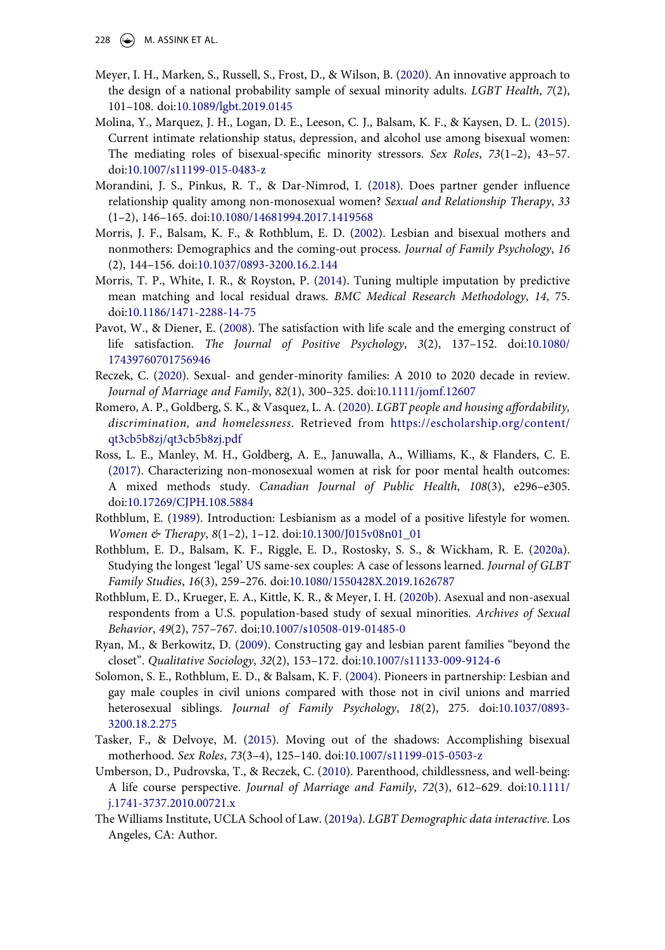- 228  $\left(\rightarrow\right)$  M. ASSINK ET AL.
- <span id="page-24-11"></span>Meyer, I. H., Marken, S., Russell, S., Frost, D., & Wilson, B. [\(2020\)](#page-5-3). An innovative approach to the design of a national probability sample of sexual minority adults. *LGBT Health*, *7*(2), 101–108. doi:[10.1089/lgbt.2019.0145](https://doi.org/10.1089/lgbt.2019.0145)
- <span id="page-24-14"></span>Molina, Y., Marquez, J. H., Logan, D. E., Leeson, C. J., Balsam, K. F., & Kaysen, D. L. [\(2015\)](#page-19-1). Current intimate relationship status, depression, and alcohol use among bisexual women: The mediating roles of bisexual-specific minority stressors. *Sex Roles*, *73*(1–2), 43–57. doi:[10.1007/s11199-015-0483-z](https://doi.org/10.1007/s11199-015-0483-z)
- <span id="page-24-15"></span>Morandini, J. S., Pinkus, R. T., & Dar-Nimrod, I. ([2018](#page-19-1)). Does partner gender influence relationship quality among non-monosexual women? *Sexual and Relationship Therapy*, *33*  (1–2), 146–165. doi:[10.1080/14681994.2017.1419568](https://doi.org/10.1080/14681994.2017.1419568)
- <span id="page-24-9"></span>Morris, J. F., Balsam, K. F., & Rothblum, E. D. ([2002\)](#page-5-4). Lesbian and bisexual mothers and nonmothers: Demographics and the coming-out process. *Journal of Family Psychology*, *16*  (2), 144–156. doi:[10.1037/0893-3200.16.2.144](https://doi.org/10.1037/0893-3200.16.2.144)
- <span id="page-24-13"></span>Morris, T. P., White, I. R., & Royston, P. [\(2014](#page-11-1)). Tuning multiple imputation by predictive mean matching and local residual draws. *BMC Medical Research Methodology*, *14*, 75. doi:[10.1186/1471-2288-14-75](https://doi.org/10.1186/1471-2288-14-75)
- <span id="page-24-12"></span>Pavot, W., & Diener, E. [\(2008\)](#page-9-5). The satisfaction with life scale and the emerging construct of life satisfaction. *The Journal of Positive Psychology*, *3*(2), 137–152. doi:[10.1080/](https://doi.org/10.1080/17439760701756946) [17439760701756946](https://doi.org/10.1080/17439760701756946)
- <span id="page-24-5"></span>Reczek, C. ([2020\)](#page-4-6). Sexual- and gender-minority families: A 2010 to 2020 decade in review. *Journal of Marriage and Family*, *82*(1), 300–325. doi:[10.1111/jomf.12607](https://doi.org/10.1111/jomf.12607)
- <span id="page-24-3"></span>Romero, A. P., Goldberg, S. K., & Vasquez, L. A. [\(2020\)](#page-3-3). *LGBT people and housing affordability, discrimination, and homelessness*. Retrieved from [https://escholarship.org/content/](https://escholarship.org/content/qt3cb5b8zj/qt3cb5b8zj.pdf) [qt3cb5b8zj/qt3cb5b8zj.pdf](https://escholarship.org/content/qt3cb5b8zj/qt3cb5b8zj.pdf)
- <span id="page-24-7"></span>Ross, L. E., Manley, M. H., Goldberg, A. E., Januwalla, A., Williams, K., & Flanders, C. E. [\(2017\)](#page-4-7). Characterizing non-monosexual women at risk for poor mental health outcomes: A mixed methods study. *Canadian Journal of Public Health*, *108*(3), e296–e305. doi:[10.17269/CJPH.108.5884](https://doi.org/10.17269/CJPH.108.5884)
- <span id="page-24-0"></span>Rothblum, E. [\(1989](#page-1-2)). Introduction: Lesbianism as a model of a positive lifestyle for women. *Women & Therapy*, *8*(1–2), 1–12. doi:[10.1300/J015v08n01\\_01](https://doi.org/10.1300/J015v08n01_01)
- <span id="page-24-1"></span>Rothblum, E. D., Balsam, K. F., Riggle, E. D., Rostosky, S. S., & Wickham, R. E. [\(2020a\)](#page-1-3). Studying the longest 'legal' US same-sex couples: A case of lessons learned. *Journal of GLBT Family Studies*, *16*(3), 259–276. doi:[10.1080/1550428X.2019.1626787](https://doi.org/10.1080/1550428X.2019.1626787)
- <span id="page-24-6"></span>Rothblum, E. D., Krueger, E. A., Kittle, K. R., & Meyer, I. H. ([2020b\)](#page-4-8). Asexual and non-asexual respondents from a U.S. population-based study of sexual minorities. *Archives of Sexual Behavior*, *49*(2), 757–767. doi:[10.1007/s10508-019-01485-0](https://doi.org/10.1007/s10508-019-01485-0)
- <span id="page-24-2"></span>Ryan, M., & Berkowitz, D. [\(2009\)](#page-2-5). Constructing gay and lesbian parent families "beyond the closet". *Qualitative Sociology*, *32*(2), 153–172. doi:[10.1007/s11133-009-9124-6](https://doi.org/10.1007/s11133-009-9124-6)
- <span id="page-24-16"></span>Solomon, S. E., Rothblum, E. D., & Balsam, K. F. ([2004](#page-21-5)). Pioneers in partnership: Lesbian and gay male couples in civil unions compared with those not in civil unions and married heterosexual siblings. *Journal of Family Psychology*, *18*(2), 275. doi:[10.1037/0893-](https://doi.org/10.1037/0893-3200.18.2.275)  [3200.18.2.275](https://doi.org/10.1037/0893-3200.18.2.275)
- <span id="page-24-4"></span>Tasker, F., & Delvoye, M. ([2015](#page-4-0)). Moving out of the shadows: Accomplishing bisexual motherhood. *Sex Roles*, *73*(3–4), 125–140. doi:[10.1007/s11199-015-0503-z](https://doi.org/10.1007/s11199-015-0503-z)
- <span id="page-24-8"></span>Umberson, D., Pudrovska, T., & Reczek, C. [\(2010](#page-5-5)). Parenthood, childlessness, and well-being: A life course perspective. *Journal of Marriage and Family*, *72*(3), 612–629. doi:[10.1111/](https://doi.org/10.1111/j.1741-3737.2010.00721.x) [j.1741-3737.2010.00721.x](https://doi.org/10.1111/j.1741-3737.2010.00721.x)
- <span id="page-24-10"></span>The Williams Institute, UCLA School of Law. [\(2019a\)](#page-5-1). *LGBT Demographic data interactive*. Los Angeles, CA: Author.